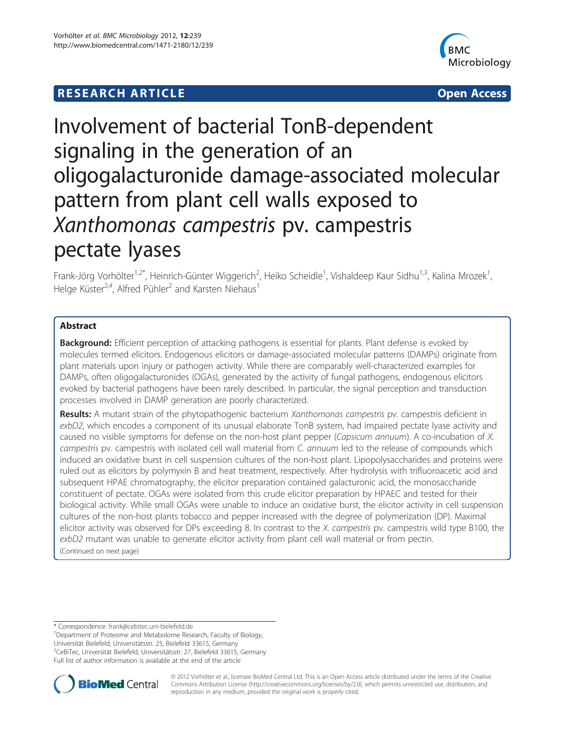## **RESEARCH ARTICLE CONSUMING A RESEARCH ARTICLE**



# Involvement of bacterial TonB-dependent signaling in the generation of an oligogalacturonide damage-associated molecular pattern from plant cell walls exposed to Xanthomonas campestris pv. campestris pectate lyases

Frank-Jörg Vorhölter<sup>1,2\*</sup>, Heinrich-Günter Wiggerich<sup>2</sup>, Heiko Scheidle<sup>1</sup>, Vishaldeep Kaur Sidhu<sup>1,3</sup>, Kalina Mrozek<sup>1</sup> , Helge Küster<sup>2,4</sup>, Alfred Pühler<sup>2</sup> and Karsten Niehaus<sup>1</sup>

## Abstract

**Background:** Efficient perception of attacking pathogens is essential for plants. Plant defense is evoked by molecules termed elicitors. Endogenous elicitors or damage-associated molecular patterns (DAMPs) originate from plant materials upon injury or pathogen activity. While there are comparably well-characterized examples for DAMPs, often oligogalacturonides (OGAs), generated by the activity of fungal pathogens, endogenous elicitors evoked by bacterial pathogens have been rarely described. In particular, the signal perception and transduction processes involved in DAMP generation are poorly characterized.

Results: A mutant strain of the phytopathogenic bacterium Xanthomonas campestris pv. campestris deficient in exbD2, which encodes a component of its unusual elaborate TonB system, had impaired pectate lyase activity and caused no visible symptoms for defense on the non-host plant pepper (Capsicum annuum). A co-incubation of X. campestris pv. campestris with isolated cell wall material from C. annuum led to the release of compounds which induced an oxidative burst in cell suspension cultures of the non-host plant. Lipopolysaccharides and proteins were ruled out as elicitors by polymyxin B and heat treatment, respectively. After hydrolysis with trifluoroacetic acid and subsequent HPAE chromatography, the elicitor preparation contained galacturonic acid, the monosaccharide constituent of pectate. OGAs were isolated from this crude elicitor preparation by HPAEC and tested for their biological activity. While small OGAs were unable to induce an oxidative burst, the elicitor activity in cell suspension cultures of the non-host plants tobacco and pepper increased with the degree of polymerization (DP). Maximal elicitor activity was observed for DPs exceeding 8. In contrast to the X. campestris pv. campestris wild type B100, the exbD2 mutant was unable to generate elicitor activity from plant cell wall material or from pectin. (Continued on next page)

\* Correspondence: [frank@cebitec.uni-bielefeld.de](mailto:frank@cebitec.uni-ielefeld.de) <sup>1</sup>

Department of Proteome and Metabolome Research, Faculty of Biology, Universität Bielefeld, Universitätsstr. 25, Bielefeld 33615, Germany

2 CeBiTec, Universität Bielefeld, Universitätsstr. 27, Bielefeld 33615, Germany

Full list of author information is available at the end of the article



© 2012 Vorhölter et al.; licensee BioMed Central Ltd. This is an Open Access article distributed under the terms of the Creative Commons Attribution License [\(http://creativecommons.org/licenses/by/2.0\)](http://creativecommons.org/licenses/by/2.0), which permits unrestricted use, distribution, and reproduction in any medium, provided the original work is properly cited.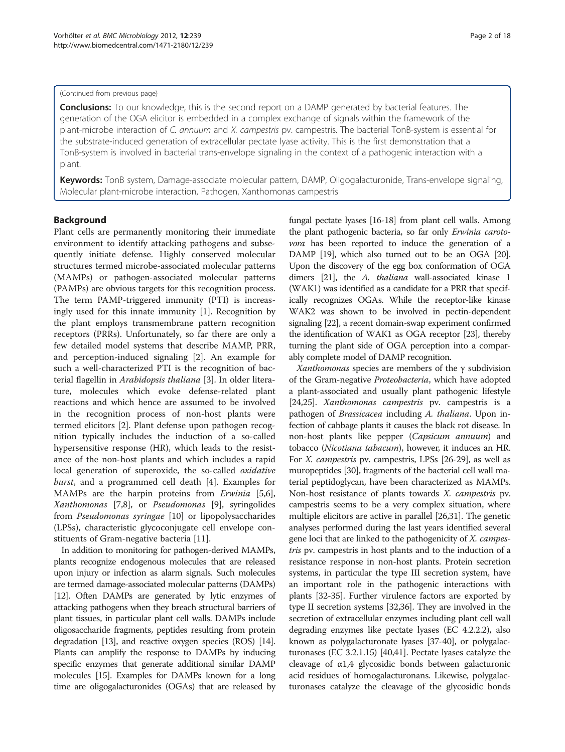#### (Continued from previous page)

**Conclusions:** To our knowledge, this is the second report on a DAMP generated by bacterial features. The generation of the OGA elicitor is embedded in a complex exchange of signals within the framework of the plant-microbe interaction of C. annuum and X. campestris pv. campestris. The bacterial TonB-system is essential for the substrate-induced generation of extracellular pectate lyase activity. This is the first demonstration that a TonB-system is involved in bacterial trans-envelope signaling in the context of a pathogenic interaction with a plant.

Keywords: TonB system, Damage-associate molecular pattern, DAMP, Oligogalacturonide, Trans-envelope signaling, Molecular plant-microbe interaction, Pathogen, Xanthomonas campestris

## Background

Plant cells are permanently monitoring their immediate environment to identify attacking pathogens and subsequently initiate defense. Highly conserved molecular structures termed microbe-associated molecular patterns (MAMPs) or pathogen-associated molecular patterns (PAMPs) are obvious targets for this recognition process. The term PAMP-triggered immunity (PTI) is increasingly used for this innate immunity [[1\]](#page-14-0). Recognition by the plant employs transmembrane pattern recognition receptors (PRRs). Unfortunately, so far there are only a few detailed model systems that describe MAMP, PRR, and perception-induced signaling [\[2](#page-14-0)]. An example for such a well-characterized PTI is the recognition of bacterial flagellin in Arabidopsis thaliana [[3\]](#page-14-0). In older literature, molecules which evoke defense-related plant reactions and which hence are assumed to be involved in the recognition process of non-host plants were termed elicitors [[2\]](#page-14-0). Plant defense upon pathogen recognition typically includes the induction of a so-called hypersensitive response (HR), which leads to the resistance of the non-host plants and which includes a rapid local generation of superoxide, the so-called oxidative burst, and a programmed cell death [\[4](#page-14-0)]. Examples for MAMPs are the harpin proteins from *Erwinia* [\[5,6](#page-14-0)], Xanthomonas [[7,8\]](#page-15-0), or Pseudomonas [[9\]](#page-15-0), syringolides from Pseudomonas syringae [\[10\]](#page-15-0) or lipopolysaccharides (LPSs), characteristic glycoconjugate cell envelope constituents of Gram-negative bacteria [\[11](#page-15-0)].

In addition to monitoring for pathogen-derived MAMPs, plants recognize endogenous molecules that are released upon injury or infection as alarm signals. Such molecules are termed damage-associated molecular patterns (DAMPs) [[12](#page-15-0)]. Often DAMPs are generated by lytic enzymes of attacking pathogens when they breach structural barriers of plant tissues, in particular plant cell walls. DAMPs include oligosaccharide fragments, peptides resulting from protein degradation [\[13](#page-15-0)], and reactive oxygen species (ROS) [\[14](#page-15-0)]. Plants can amplify the response to DAMPs by inducing specific enzymes that generate additional similar DAMP molecules [[15\]](#page-15-0). Examples for DAMPs known for a long time are oligogalacturonides (OGAs) that are released by fungal pectate lyases [[16](#page-15-0)-[18\]](#page-15-0) from plant cell walls. Among the plant pathogenic bacteria, so far only Erwinia carotovora has been reported to induce the generation of a DAMP [\[19\]](#page-15-0), which also turned out to be an OGA [\[20](#page-15-0)]. Upon the discovery of the egg box conformation of OGA dimers [\[21\]](#page-15-0), the A. thaliana wall-associated kinase 1 (WAK1) was identified as a candidate for a PRR that specifically recognizes OGAs. While the receptor-like kinase WAK2 was shown to be involved in pectin-dependent signaling [[22](#page-15-0)], a recent domain-swap experiment confirmed the identification of WAK1 as OGA receptor [[23\]](#page-15-0), thereby turning the plant side of OGA perception into a comparably complete model of DAMP recognition.

*Xanthomonas* species are members of the  $\gamma$  subdivision of the Gram-negative Proteobacteria, which have adopted a plant-associated and usually plant pathogenic lifestyle [[24,25](#page-15-0)]. Xanthomonas campestris pv. campestris is a pathogen of Brassicacea including A. thaliana. Upon infection of cabbage plants it causes the black rot disease. In non-host plants like pepper (Capsicum annuum) and tobacco (Nicotiana tabacum), however, it induces an HR. For X. campestris pv. campestris, LPSs [\[26-29\]](#page-15-0), as well as muropeptides [[30](#page-15-0)], fragments of the bacterial cell wall material peptidoglycan, have been characterized as MAMPs. Non-host resistance of plants towards X. campestris pv. campestris seems to be a very complex situation, where multiple elicitors are active in parallel [[26,31](#page-15-0)]. The genetic analyses performed during the last years identified several gene loci that are linked to the pathogenicity of X. campestris pv. campestris in host plants and to the induction of a resistance response in non-host plants. Protein secretion systems, in particular the type III secretion system, have an important role in the pathogenic interactions with plants [\[32-35\]](#page-15-0). Further virulence factors are exported by type II secretion systems [\[32,36\]](#page-15-0). They are involved in the secretion of extracellular enzymes including plant cell wall degrading enzymes like pectate lyases (EC 4.2.2.2), also known as polygalacturonate lyases [\[37](#page-15-0)-[40](#page-15-0)], or polygalacturonases (EC 3.2.1.15) [[40,41](#page-15-0)]. Pectate lyases catalyze the cleavage of α1,4 glycosidic bonds between galacturonic acid residues of homogalacturonans. Likewise, polygalacturonases catalyze the cleavage of the glycosidic bonds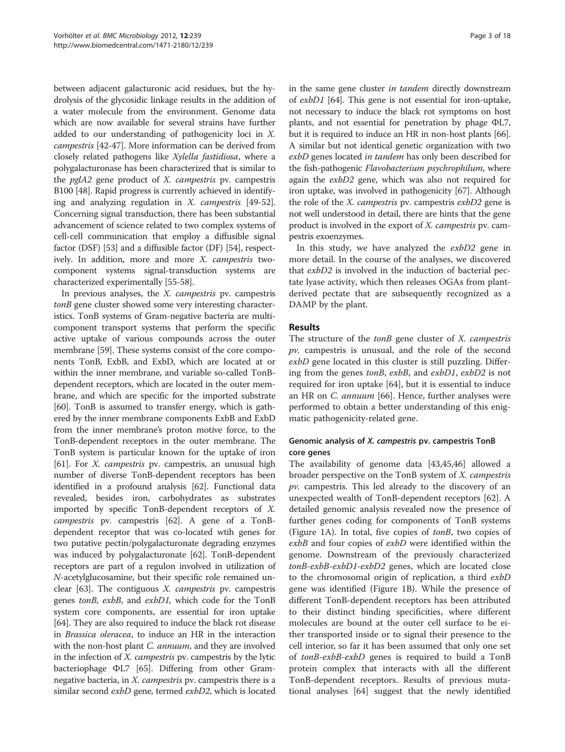between adjacent galacturonic acid residues, but the hydrolysis of the glycosidic linkage results in the addition of a water molecule from the environment. Genome data which are now available for several strains have further added to our understanding of pathogenicity loci in X. campestris [[42](#page-15-0)-[47](#page-16-0)]. More information can be derived from closely related pathogens like Xylella fastidiosa, where a polygalacturonase has been characterized that is similar to the  $pgIA2$  gene product of X. *campestris* pv. campestris B100 [[48](#page-16-0)]. Rapid progress is currently achieved in identifying and analyzing regulation in X. campestris [[49](#page-16-0)-[52](#page-16-0)]. Concerning signal transduction, there has been substantial advancement of science related to two complex systems of cell-cell communication that employ a diffusible signal factor (DSF) [[53](#page-16-0)] and a diffusible factor (DF) [\[54\]](#page-16-0), respectively. In addition, more and more X. campestris twocomponent systems signal-transduction systems are characterized experimentally [[55-58\]](#page-16-0).

In previous analyses, the X. campestris pv. campestris tonB gene cluster showed some very interesting characteristics. TonB systems of Gram-negative bacteria are multicomponent transport systems that perform the specific active uptake of various compounds across the outer membrane [[59](#page-16-0)]. These systems consist of the core components TonB, ExbB, and ExbD, which are located at or within the inner membrane, and variable so-called TonBdependent receptors, which are located in the outer membrane, and which are specific for the imported substrate [[60](#page-16-0)]. TonB is assumed to transfer energy, which is gathered by the inner membrane components ExbB and ExbD from the inner membrane's proton motive force, to the TonB-dependent receptors in the outer membrane. The TonB system is particular known for the uptake of iron [[61](#page-16-0)]. For X. campestris pv. campestris, an unusual high number of diverse TonB-dependent receptors has been identified in a profound analysis [\[62\]](#page-16-0). Functional data revealed, besides iron, carbohydrates as substrates imported by specific TonB-dependent receptors of X. campestris pv. campestris [\[62\]](#page-16-0). A gene of a TonBdependent receptor that was co-located wtih genes for two putative pectin/polygalacturonate degrading enzymes was induced by polygalacturonate [\[62](#page-16-0)]. TonB-dependent receptors are part of a regulon involved in utilization of N-acetylglucosamine, but their specific role remained unclear  $[63]$ . The contiguous *X. campestris* pv. campestris genes tonB, exbB, and exbD1, which code for the TonB system core components, are essential for iron uptake [[64](#page-16-0)]. They are also required to induce the black rot disease in Brassica oleracea, to induce an HR in the interaction with the non-host plant *C. annuum*, and they are involved in the infection of X. campestris pv. campestris by the lytic bacteriophage ΦL7 [\[65](#page-16-0)]. Differing from other Gramnegative bacteria, in *X. campestris* pv. campestris there is a similar second *exbD* gene, termed *exbD2*, which is located

in the same gene cluster in tandem directly downstream of exbD1 [\[64](#page-16-0)]. This gene is not essential for iron-uptake, not necessary to induce the black rot symptoms on host plants, and not essential for penetration by phage ΦL7, but it is required to induce an HR in non-host plants [[66](#page-16-0)]. A similar but not identical genetic organization with two exbD genes located *in tandem* has only been described for the fish-pathogenic Flavobacterium psychrophilum, where again the exbD2 gene, which was also not required for iron uptake, was involved in pathogenicity [[67](#page-16-0)]. Although the role of the X. campestris pv. campestris exbD2 gene is not well understood in detail, there are hints that the gene product is involved in the export of X. campestris pv. campestris exoenzymes.

In this study, we have analyzed the exbD2 gene in more detail. In the course of the analyses, we discovered that exbD2 is involved in the induction of bacterial pectate lyase activity, which then releases OGAs from plantderived pectate that are subsequently recognized as a DAMP by the plant.

## Results

The structure of the  $tonB$  gene cluster of  $X$ . *campestris* pv. campestris is unusual, and the role of the second exbD gene located in this cluster is still puzzling. Differing from the genes tonB, exbB, and exbD1, exbD2 is not required for iron uptake [[64\]](#page-16-0), but it is essential to induce an HR on C. annuum [\[66](#page-16-0)]. Hence, further analyses were performed to obtain a better understanding of this enigmatic pathogenicity-related gene.

## Genomic analysis of X. campestris pv. campestris TonB core genes

The availability of genome data [\[43,45,46\]](#page-15-0) allowed a broader perspective on the TonB system of X. campestris  $pv$ . campestris. This led already to the discovery of an unexpected wealth of TonB-dependent receptors [\[62\]](#page-16-0). A detailed genomic analysis revealed now the presence of further genes coding for components of TonB systems (Figure [1A\)](#page-3-0). In total, five copies of tonB, two copies of exbB and four copies of exbD were identified within the genome. Downstream of the previously characterized tonB-exbB-exbD1-exbD2 genes, which are located close to the chromosomal origin of replication, a third *exbD* gene was identified (Figure [1B](#page-3-0)). While the presence of different TonB-dependent receptors has been attributed to their distinct binding specificities, where different molecules are bound at the outer cell surface to be either transported inside or to signal their presence to the cell interior, so far it has been assumed that only one set of tonB-exbB-exbD genes is required to build a TonB protein complex that interacts with all the different TonB-dependent receptors. Results of previous mutational analyses [[64\]](#page-16-0) suggest that the newly identified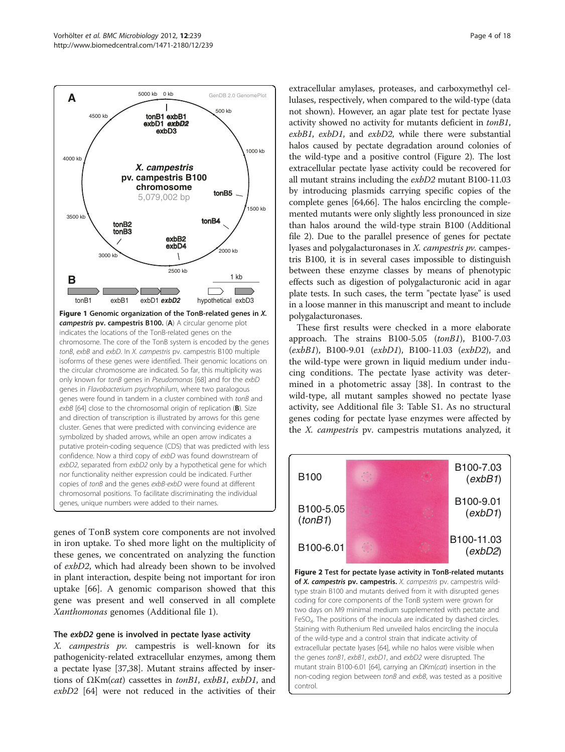<span id="page-3-0"></span>

isoforms of these genes were identified. Their genomic locations on the circular chromosome are indicated. So far, this multiplicity was only known for tonB genes in Pseudomonas [[68](#page-16-0)] and for the exbD genes in Flavobacterium psychrophilum, where two paralogous genes were found in tandem in a cluster combined with tonB and exbB [\[64](#page-16-0)] close to the chromosomal origin of replication (B). Size and direction of transcription is illustrated by arrows for this gene cluster. Genes that were predicted with convincing evidence are symbolized by shaded arrows, while an open arrow indicates a putative protein-coding sequence (CDS) that was predicted with less confidence. Now a third copy of exbD was found downstream of exbD2, separated from exbD2 only by a hypothetical gene for which nor functionality neither expression could be indicated. Further copies of tonB and the genes exbB-exbD were found at different chromosomal positions. To facilitate discriminating the individual genes, unique numbers were added to their names.

genes of TonB system core components are not involved in iron uptake. To shed more light on the multiplicity of these genes, we concentrated on analyzing the function of exbD2, which had already been shown to be involved in plant interaction, despite being not important for iron uptake [[66](#page-16-0)]. A genomic comparison showed that this gene was present and well conserved in all complete Xanthomonas genomes (Additional file [1\)](#page-14-0).

#### The exbD2 gene is involved in pectate lyase activity

X. campestris pv. campestris is well-known for its pathogenicity-related extracellular enzymes, among them a pectate lyase [\[37,38](#page-15-0)]. Mutant strains affected by insertions of  $\Omega$ Km(*cat*) cassettes in *tonB1*, *exbB1*, *exbD1*, and exbD2 [\[64](#page-16-0)] were not reduced in the activities of their

extracellular amylases, proteases, and carboxymethyl cellulases, respectively, when compared to the wild-type (data not shown). However, an agar plate test for pectate lyase activity showed no activity for mutants deficient in tonB1, exbB1, exbD1, and exbD2, while there were substantial halos caused by pectate degradation around colonies of the wild-type and a positive control (Figure 2). The lost extracellular pectate lyase activity could be recovered for all mutant strains including the exbD2 mutant B100-11.03 by introducing plasmids carrying specific copies of the complete genes [[64,66\]](#page-16-0). The halos encircling the complemented mutants were only slightly less pronounced in size than halos around the wild-type strain B100 (Additional file [2\)](#page-14-0). Due to the parallel presence of genes for pectate lyases and polygalacturonases in X. campestris pv. campestris B100, it is in several cases impossible to distinguish between these enzyme classes by means of phenotypic effects such as digestion of polygalacturonic acid in agar plate tests. In such cases, the term "pectate lyase" is used in a loose manner in this manuscript and meant to include polygalacturonases.

These first results were checked in a more elaborate approach. The strains B100-5.05 (tonB1), B100-7.03 (exbB1), B100-9.01 (exbD1), B100-11.03 (exbD2), and the wild-type were grown in liquid medium under inducing conditions. The pectate lyase activity was determined in a photometric assay [\[38\]](#page-15-0). In contrast to the wild-type, all mutant samples showed no pectate lyase activity, see Additional file [3](#page-14-0): Table S1. As no structural genes coding for pectate lyase enzymes were affected by the X. campestris pv. campestris mutations analyzed, it



Figure 2 Test for pectate lyase activity in TonB-related mutants of X. campestris pv. campestris. X. campestris pv. campestris wildtype strain B100 and mutants derived from it with disrupted genes coding for core components of the TonB system were grown for two days on M9 minimal medium supplemented with pectate and FeSO4. The positions of the inocula are indicated by dashed circles. Staining with Ruthenium Red unveiled halos encircling the inocula of the wild-type and a control strain that indicate activity of extracellular pectate lyases [\[64\]](#page-16-0), while no halos were visible when the genes tonB1, exbB1, exbD1, and exbD2 were disrupted. The mutant strain B100-6.01 [[64\]](#page-16-0), carrying an ΩKm(cat) insertion in the non-coding region between tonB and exbB, was tested as a positive control.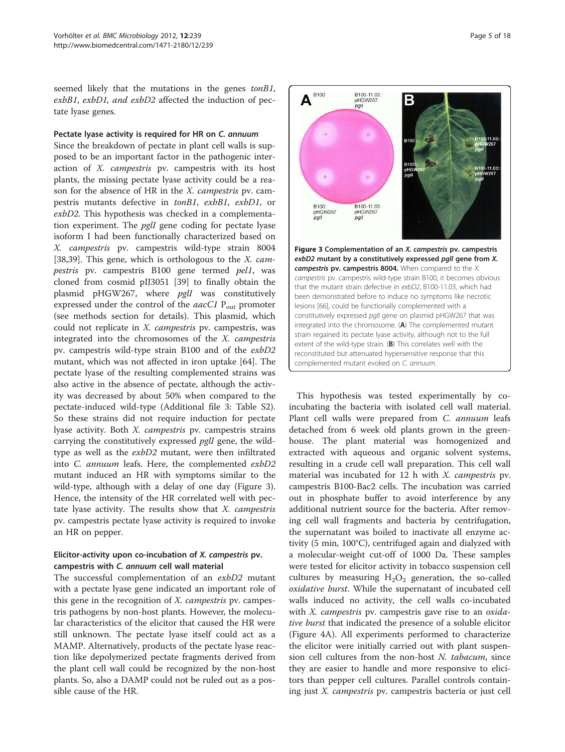seemed likely that the mutations in the genes tonB1, exbB1, exbD1, and exbD2 affected the induction of pectate lyase genes.

#### Pectate lyase activity is required for HR on C. annuum

Since the breakdown of pectate in plant cell walls is supposed to be an important factor in the pathogenic interaction of X. campestris pv. campestris with its host plants, the missing pectate lyase activity could be a reason for the absence of HR in the X. campestris pv. campestris mutants defective in tonB1, exbB1, exbD1, or exbD2. This hypothesis was checked in a complementation experiment. The pglI gene coding for pectate lyase isoform I had been functionally characterized based on X. campestris pv. campestris wild-type strain 8004 [[38,39\]](#page-15-0). This gene, which is orthologous to the  $X$ . campestris pv. campestris B100 gene termed pel1, was cloned from cosmid pIJ3051 [[39](#page-15-0)] to finally obtain the plasmid pHGW267, where pglI was constitutively expressed under the control of the  $aacCI$   $P_{out}$  promoter (see methods section for details). This plasmid, which could not replicate in X. campestris pv. campestris, was integrated into the chromosomes of the X. campestris pv. campestris wild-type strain B100 and of the exbD2 mutant, which was not affected in iron uptake [[64\]](#page-16-0). The pectate lyase of the resulting complemented strains was also active in the absence of pectate, although the activity was decreased by about 50% when compared to the pectate-induced wild-type (Additional file [3:](#page-14-0) Table S2). So these strains did not require induction for pectate lyase activity. Both X. campestris pv. campestris strains carrying the constitutively expressed pglI gene, the wildtype as well as the exbD2 mutant, were then infiltrated into C. annuum leafs. Here, the complemented exbD2 mutant induced an HR with symptoms similar to the wild-type, although with a delay of one day (Figure 3). Hence, the intensity of the HR correlated well with pectate lyase activity. The results show that  $X$ . *campestris* pv. campestris pectate lyase activity is required to invoke an HR on pepper.

#### Elicitor-activity upon co-incubation of X. campestris pv. campestris with C. annuum cell wall material

The successful complementation of an exbD2 mutant with a pectate lyase gene indicated an important role of this gene in the recognition of X. campestris pv. campestris pathogens by non-host plants. However, the molecular characteristics of the elicitor that caused the HR were still unknown. The pectate lyase itself could act as a MAMP. Alternatively, products of the pectate lyase reaction like depolymerized pectate fragments derived from the plant cell wall could be recognized by the non-host plants. So, also a DAMP could not be ruled out as a possible cause of the HR.



This hypothesis was tested experimentally by coincubating the bacteria with isolated cell wall material. Plant cell walls were prepared from C. annuum leafs detached from 6 week old plants grown in the greenhouse. The plant material was homogenized and extracted with aqueous and organic solvent systems, resulting in a crude cell wall preparation. This cell wall material was incubated for 12 h with X. campestris pv. campestris B100-Bac2 cells. The incubation was carried out in phosphate buffer to avoid interference by any additional nutrient source for the bacteria. After removing cell wall fragments and bacteria by centrifugation, the supernatant was boiled to inactivate all enzyme activity (5 min, 100°C), centrifuged again and dialyzed with a molecular-weight cut-off of 1000 Da. These samples were tested for elicitor activity in tobacco suspension cell cultures by measuring  $H_2O_2$  generation, the so-called oxidative burst. While the supernatant of incubated cell walls induced no activity, the cell walls co-incubated with X. campestris pv. campestris gave rise to an oxidative burst that indicated the presence of a soluble elicitor (Figure [4A\)](#page-5-0). All experiments performed to characterize the elicitor were initially carried out with plant suspension cell cultures from the non-host N. tabacum, since they are easier to handle and more responsive to elicitors than pepper cell cultures. Parallel controls containing just X. campestris pv. campestris bacteria or just cell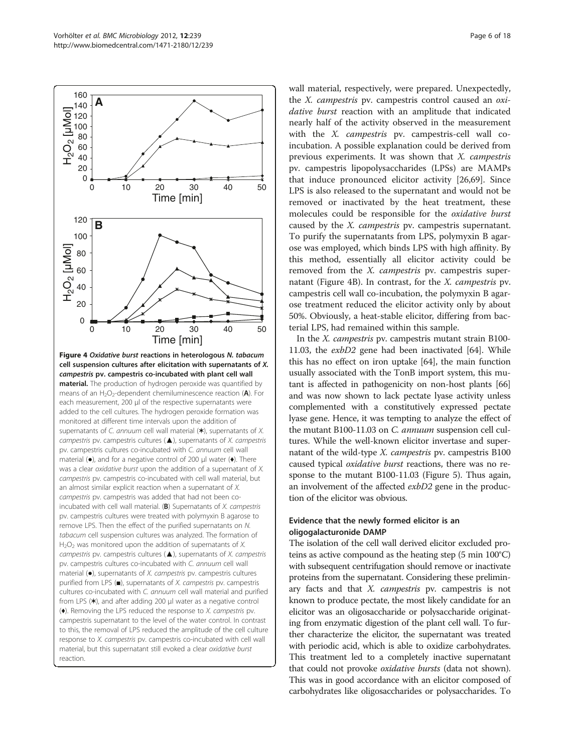<span id="page-5-0"></span>

material (●), and for a negative control of 200 μl water (♦). There was a clear oxidative burst upon the addition of a supernatant of X. campestris pv. campestris co-incubated with cell wall material, but an almost similar explicit reaction when a supernatant of X. campestris pv. campestris was added that had not been coincubated with cell wall material.  $(B)$  Supernatants of X. campestris pv. campestris cultures were treated with polymyxin B agarose to remove LPS. Then the effect of the purified supernatants on N. tabacum cell suspension cultures was analyzed. The formation of  $H<sub>2</sub>O<sub>2</sub>$  was monitored upon the addition of supernatants of X. campestris pv. campestris cultures  $(\triangle)$ , supernatants of X. campestris pv. campestris cultures co-incubated with C. annuum cell wall material  $(\bullet)$ , supernatants of *X. campestris* pv. campestris cultures purified from LPS (■), supernatants of X. campestris pv. campestris cultures co-incubated with C. annuum cell wall material and purified from LPS (✶), and after adding 200 μl water as a negative control (♦). Removing the LPS reduced the response to X. campestris pv. campestris supernatant to the level of the water control. In contrast to this, the removal of LPS reduced the amplitude of the cell culture response to X. campestris pv. campestris co-incubated with cell wall material, but this supernatant still evoked a clear oxidative burst reaction.

wall material, respectively, were prepared. Unexpectedly, the X. campestris pv. campestris control caused an oxidative burst reaction with an amplitude that indicated nearly half of the activity observed in the measurement with the *X. campestris* pv. campestris-cell wall coincubation. A possible explanation could be derived from previous experiments. It was shown that X. campestris pv. campestris lipopolysaccharides (LPSs) are MAMPs that induce pronounced elicitor activity [\[26](#page-15-0)[,69](#page-16-0)]. Since LPS is also released to the supernatant and would not be removed or inactivated by the heat treatment, these molecules could be responsible for the oxidative burst caused by the X. campestris pv. campestris supernatant. To purify the supernatants from LPS, polymyxin B agarose was employed, which binds LPS with high affinity. By this method, essentially all elicitor activity could be removed from the *X. campestris* pv. campestris supernatant (Figure 4B). In contrast, for the X. campestris pv. campestris cell wall co-incubation, the polymyxin B agarose treatment reduced the elicitor activity only by about 50%. Obviously, a heat-stable elicitor, differing from bacterial LPS, had remained within this sample.

In the X. campestris pv. campestris mutant strain B100- 11.03, the exbD2 gene had been inactivated [\[64\]](#page-16-0). While this has no effect on iron uptake [[64](#page-16-0)], the main function usually associated with the TonB import system, this mutant is affected in pathogenicity on non-host plants [[66](#page-16-0)] and was now shown to lack pectate lyase activity unless complemented with a constitutively expressed pectate lyase gene. Hence, it was tempting to analyze the effect of the mutant B100-11.03 on C. annuum suspension cell cultures. While the well-known elicitor invertase and supernatant of the wild-type X. campestris pv. campestris B100 caused typical oxidative burst reactions, there was no response to the mutant B100-11.03 (Figure [5](#page-6-0)). Thus again, an involvement of the affected *exbD2* gene in the production of the elicitor was obvious.

## Evidence that the newly formed elicitor is an oligogalacturonide DAMP

The isolation of the cell wall derived elicitor excluded proteins as active compound as the heating step (5 min 100°C) with subsequent centrifugation should remove or inactivate proteins from the supernatant. Considering these preliminary facts and that X. campestris pv. campestris is not known to produce pectate, the most likely candidate for an elicitor was an oligosaccharide or polysaccharide originating from enzymatic digestion of the plant cell wall. To further characterize the elicitor, the supernatant was treated with periodic acid, which is able to oxidize carbohydrates. This treatment led to a completely inactive supernatant that could not provoke oxidative bursts (data not shown). This was in good accordance with an elicitor composed of carbohydrates like oligosaccharides or polysaccharides. To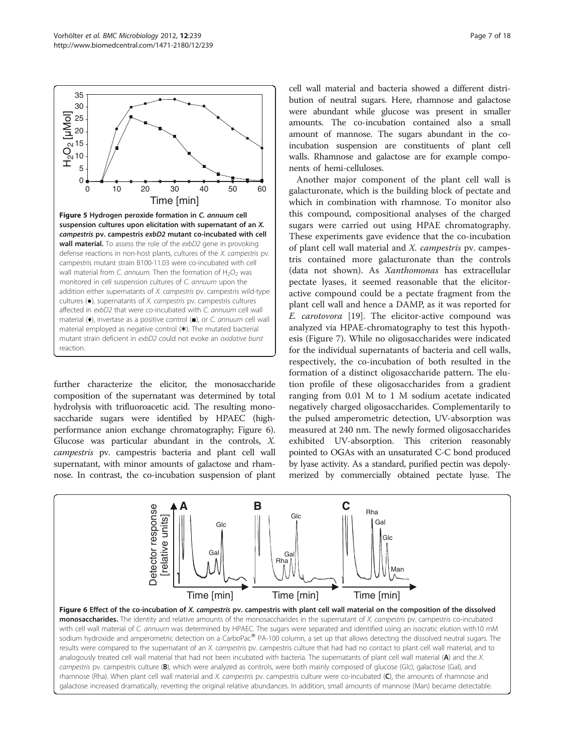<span id="page-6-0"></span>

further characterize the elicitor, the monosaccharide composition of the supernatant was determined by total hydrolysis with trifluoroacetic acid. The resulting monosaccharide sugars were identified by HPAEC (highperformance anion exchange chromatography; Figure 6). Glucose was particular abundant in the controls, X. campestris pv. campestris bacteria and plant cell wall supernatant, with minor amounts of galactose and rhamnose. In contrast, the co-incubation suspension of plant

cell wall material and bacteria showed a different distribution of neutral sugars. Here, rhamnose and galactose were abundant while glucose was present in smaller amounts. The co-incubation contained also a small amount of mannose. The sugars abundant in the coincubation suspension are constituents of plant cell walls. Rhamnose and galactose are for example components of hemi-celluloses.

Another major component of the plant cell wall is galacturonate, which is the building block of pectate and which in combination with rhamnose. To monitor also this compound, compositional analyses of the charged sugars were carried out using HPAE chromatography. These experiments gave evidence that the co-incubation of plant cell wall material and X. campestris pv. campestris contained more galacturonate than the controls (data not shown). As Xanthomonas has extracellular pectate lyases, it seemed reasonable that the elicitoractive compound could be a pectate fragment from the plant cell wall and hence a DAMP, as it was reported for E. carotovora [\[19\]](#page-15-0). The elicitor-active compound was analyzed via HPAE-chromatography to test this hypothesis (Figure [7](#page-7-0)). While no oligosaccharides were indicated for the individual supernatants of bacteria and cell walls, respectively, the co-incubation of both resulted in the formation of a distinct oligosaccharide pattern. The elution profile of these oligosaccharides from a gradient ranging from 0.01 M to 1 M sodium acetate indicated negatively charged oligosaccharides. Complementarily to the pulsed amperometric detection, UV-absorption was measured at 240 nm. The newly formed oligosaccharides exhibited UV-absorption. This criterion reasonably pointed to OGAs with an unsaturated C-C bond produced by lyase activity. As a standard, purified pectin was depolymerized by commercially obtained pectate lyase. The

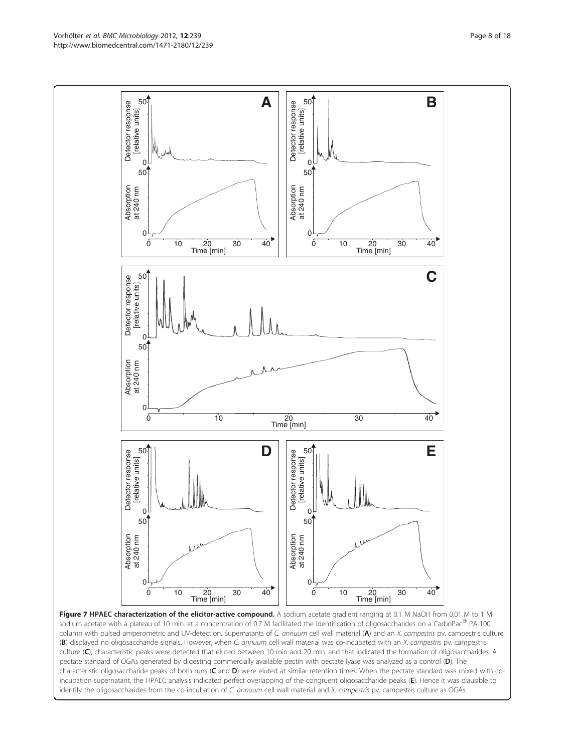<span id="page-7-0"></span>

Figure 7 HPAEC characterization of the elicitor-active compound. A sodium acetate gradient ranging at 0.1 M NaOH from 0.01 M to 1 M sodium acetate with a plateau of 10 min. at a concentration of 0.7 M facilitated the identification of oligosaccharides on a CarboPac® PA-100 column with pulsed amperometric and UV-detection. Supernatants of C. annuum cell wall material (A) and an X. campestris pv. campestris culture (B) displayed no oligosaccharide signals. However, when C. annuum cell wall material was co-incubated with an X. campestris pv. campestris culture (C), characteristic peaks were detected that eluted between 10 min and 20 min. and that indicated the formation of oligosaccharides. A pectate standard of OGAs generated by digesting commercially available pectin with pectate lyase was analyzed as a control (D). The characteristic oligosaccharide peaks of both runs (C and D) were eluted at similar retention times. When the pectate standard was mixed with coincubation supernatant, the HPAEC analysis indicated perfect overlapping of the congruent oligosaccharide peaks (E). Hence it was plausible to identify the oligosaccharides from the co-incubation of C. annuum cell wall material and X. campestris pv. campestris culture as OGAs.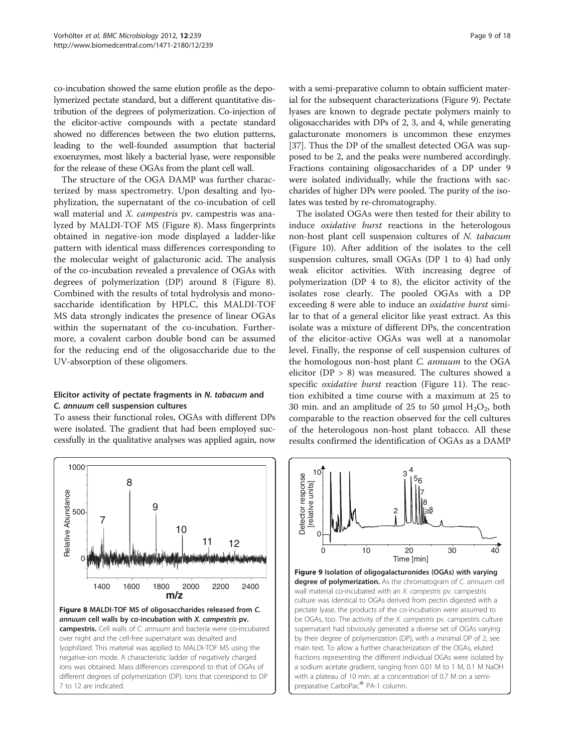co-incubation showed the same elution profile as the depolymerized pectate standard, but a different quantitative distribution of the degrees of polymerization. Co-injection of the elicitor-active compounds with a pectate standard showed no differences between the two elution patterns, leading to the well-founded assumption that bacterial exoenzymes, most likely a bacterial lyase, were responsible for the release of these OGAs from the plant cell wall.

The structure of the OGA DAMP was further characterized by mass spectrometry. Upon desalting and lyophylization, the supernatant of the co-incubation of cell wall material and X. campestris pv. campestris was analyzed by MALDI-TOF MS (Figure 8). Mass fingerprints obtained in negative-ion mode displayed a ladder-like pattern with identical mass differences corresponding to the molecular weight of galacturonic acid. The analysis of the co-incubation revealed a prevalence of OGAs with degrees of polymerization (DP) around 8 (Figure 8). Combined with the results of total hydrolysis and monosaccharide identification by HPLC, this MALDI-TOF MS data strongly indicates the presence of linear OGAs within the supernatant of the co-incubation. Furthermore, a covalent carbon double bond can be assumed for the reducing end of the oligosaccharide due to the UV-absorption of these oligomers.

## Elicitor activity of pectate fragments in N. tabacum and C. annuum cell suspension cultures

To assess their functional roles, OGAs with different DPs were isolated. The gradient that had been employed successfully in the qualitative analyses was applied again, now



with a semi-preparative column to obtain sufficient material for the subsequent characterizations (Figure 9). Pectate lyases are known to degrade pectate polymers mainly to oligosaccharides with DPs of 2, 3, and 4, while generating galacturonate monomers is uncommon these enzymes [[37](#page-15-0)]. Thus the DP of the smallest detected OGA was supposed to be 2, and the peaks were numbered accordingly. Fractions containing oligosaccharides of a DP under 9 were isolated individually, while the fractions with saccharides of higher DPs were pooled. The purity of the isolates was tested by re-chromatography.

The isolated OGAs were then tested for their ability to induce *oxidative burst* reactions in the heterologous non-host plant cell suspension cultures of N. tabacum (Figure [10\)](#page-9-0). After addition of the isolates to the cell suspension cultures, small OGAs (DP 1 to 4) had only weak elicitor activities. With increasing degree of polymerization (DP 4 to 8), the elicitor activity of the isolates rose clearly. The pooled OGAs with a DP exceeding 8 were able to induce an oxidative burst similar to that of a general elicitor like yeast extract. As this isolate was a mixture of different DPs, the concentration of the elicitor-active OGAs was well at a nanomolar level. Finally, the response of cell suspension cultures of the homologous non-host plant C. annuum to the OGA elicitor (DP > 8) was measured. The cultures showed a specific oxidative burst reaction (Figure [11\)](#page-9-0). The reaction exhibited a time course with a maximum at 25 to 30 min. and an amplitude of 25 to 50 µmol  $H_2O_2$ , both comparable to the reaction observed for the cell cultures of the heterologous non-host plant tobacco. All these results confirmed the identification of OGAs as a DAMP

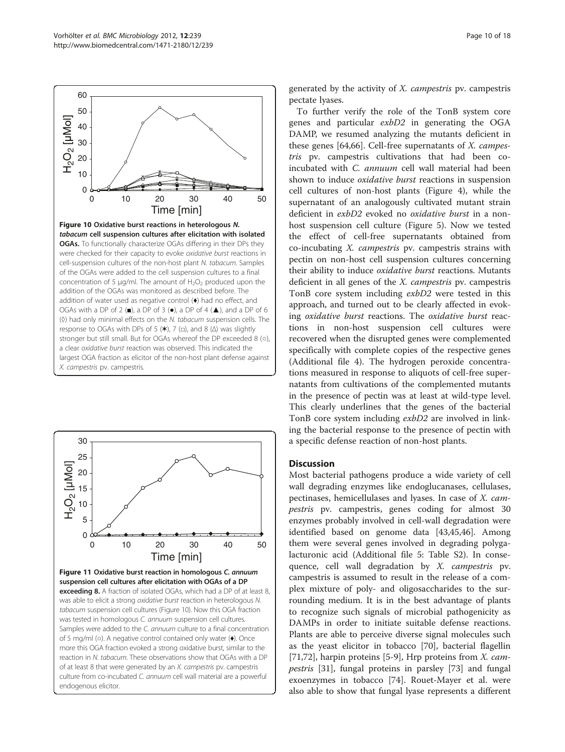<span id="page-9-0"></span>ณ  $\sim$ 

Time [min] Figure 10 Oxidative burst reactions in heterologous N. tabacum cell suspension cultures after elicitation with isolated OGAs. To functionally characterize OGAs differing in their DPs they were checked for their capacity to evoke oxidative burst reactions in cell-suspension cultures of the non-host plant N. tabacum. Samples of the OGAs were added to the cell suspension cultures to a final concentration of 5  $\mu$ g/ml. The amount of H<sub>2</sub>O<sub>2</sub> produced upon the addition of the OGAs was monitored as described before. The addition of water used as negative control (♦) had no effect, and OGAs with a DP of 2 ( $\blacksquare$ ), a DP of 3 ( $\bullet$ ), a DP of 4 ( $\blacktriangle$ ), and a DP of 6 (◊) had only minimal effects on the N. tabacum suspension cells. The response to OGAs with DPs of 5  $(\star)$ , 7 ( $\square$ ), and 8 ( $\triangle$ ) was slightly stronger but still small. But for OGAs whereof the DP exceeded 8 (o), a clear oxidative burst reaction was observed. This indicated the largest OGA fraction as elicitor of the non-host plant defense against X. campestris pv. campestris.

0 10 20 30 40 50



generated by the activity of X. campestris pv. campestris pectate lyases.

To further verify the role of the TonB system core genes and particular exbD2 in generating the OGA DAMP, we resumed analyzing the mutants deficient in these genes [\[64,66\]](#page-16-0). Cell-free supernatants of X. campestris pv. campestris cultivations that had been coincubated with C. annuum cell wall material had been shown to induce oxidative burst reactions in suspension cell cultures of non-host plants (Figure [4\)](#page-5-0), while the supernatant of an analogously cultivated mutant strain deficient in exbD2 evoked no oxidative burst in a nonhost suspension cell culture (Figure [5](#page-6-0)). Now we tested the effect of cell-free supernatants obtained from co-incubating X. campestris pv. campestris strains with pectin on non-host cell suspension cultures concerning their ability to induce oxidative burst reactions. Mutants deficient in all genes of the X. campestris pv. campestris TonB core system including exbD2 were tested in this approach, and turned out to be clearly affected in evoking oxidative burst reactions. The oxidative burst reactions in non-host suspension cell cultures were recovered when the disrupted genes were complemented specifically with complete copies of the respective genes (Additional file [4\)](#page-14-0). The hydrogen peroxide concentrations measured in response to aliquots of cell-free supernatants from cultivations of the complemented mutants in the presence of pectin was at least at wild-type level. This clearly underlines that the genes of the bacterial TonB core system including exbD2 are involved in linking the bacterial response to the presence of pectin with a specific defense reaction of non-host plants.

#### **Discussion**

Most bacterial pathogens produce a wide variety of cell wall degrading enzymes like endoglucanases, cellulases, pectinases, hemicellulases and lyases. In case of X. campestris pv. campestris, genes coding for almost 30 enzymes probably involved in cell-wall degradation were identified based on genome data [[43,45,46](#page-15-0)]. Among them were several genes involved in degrading polygalacturonic acid (Additional file [5:](#page-14-0) Table S2). In consequence, cell wall degradation by X. campestris pv. campestris is assumed to result in the release of a complex mixture of poly- and oligosaccharides to the surrounding medium. It is in the best advantage of plants to recognize such signals of microbial pathogenicity as DAMPs in order to initiate suitable defense reactions. Plants are able to perceive diverse signal molecules such as the yeast elicitor in tobacco [[70\]](#page-16-0), bacterial flagellin [[71,72\]](#page-16-0), harpin proteins [[5-](#page-14-0)[9](#page-15-0)], Hrp proteins from *X. cam*pestris [[31](#page-15-0)], fungal proteins in parsley [[73\]](#page-16-0) and fungal exoenzymes in tobacco [[74\]](#page-16-0). Rouet-Mayer et al. were also able to show that fungal lyase represents a different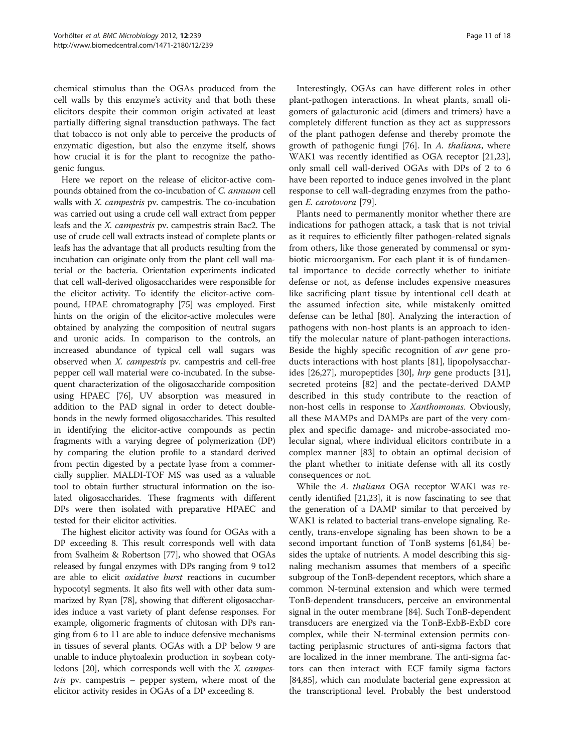chemical stimulus than the OGAs produced from the cell walls by this enzyme's activity and that both these elicitors despite their common origin activated at least partially differing signal transduction pathways. The fact that tobacco is not only able to perceive the products of enzymatic digestion, but also the enzyme itself, shows how crucial it is for the plant to recognize the pathogenic fungus.

Here we report on the release of elicitor-active compounds obtained from the co-incubation of C. annuum cell walls with *X. campestris* pv. campestris. The co-incubation was carried out using a crude cell wall extract from pepper leafs and the X. campestris pv. campestris strain Bac2. The use of crude cell wall extracts instead of complete plants or leafs has the advantage that all products resulting from the incubation can originate only from the plant cell wall material or the bacteria. Orientation experiments indicated that cell wall-derived oligosaccharides were responsible for the elicitor activity. To identify the elicitor-active compound, HPAE chromatography [\[75\]](#page-16-0) was employed. First hints on the origin of the elicitor-active molecules were obtained by analyzing the composition of neutral sugars and uronic acids. In comparison to the controls, an increased abundance of typical cell wall sugars was observed when X. campestris pv. campestris and cell-free pepper cell wall material were co-incubated. In the subsequent characterization of the oligosaccharide composition using HPAEC [[76](#page-16-0)], UV absorption was measured in addition to the PAD signal in order to detect doublebonds in the newly formed oligosaccharides. This resulted in identifying the elicitor-active compounds as pectin fragments with a varying degree of polymerization (DP) by comparing the elution profile to a standard derived from pectin digested by a pectate lyase from a commercially supplier. MALDI-TOF MS was used as a valuable tool to obtain further structural information on the isolated oligosaccharides. These fragments with different DPs were then isolated with preparative HPAEC and tested for their elicitor activities.

The highest elicitor activity was found for OGAs with a DP exceeding 8. This result corresponds well with data from Svalheim & Robertson [\[77\]](#page-16-0), who showed that OGAs released by fungal enzymes with DPs ranging from 9 to12 are able to elicit oxidative burst reactions in cucumber hypocotyl segments. It also fits well with other data summarized by Ryan [[78](#page-16-0)], showing that different oligosaccharides induce a vast variety of plant defense responses. For example, oligomeric fragments of chitosan with DPs ranging from 6 to 11 are able to induce defensive mechanisms in tissues of several plants. OGAs with a DP below 9 are unable to induce phytoalexin production in soybean cotyledons  $[20]$  $[20]$ , which corresponds well with the *X. campes*tris pv. campestris – pepper system, where most of the elicitor activity resides in OGAs of a DP exceeding 8.

Interestingly, OGAs can have different roles in other plant-pathogen interactions. In wheat plants, small oligomers of galacturonic acid (dimers and trimers) have a completely different function as they act as suppressors of the plant pathogen defense and thereby promote the growth of pathogenic fungi [\[76](#page-16-0)]. In A. thaliana, where WAK1 was recently identified as OGA receptor [\[21,23](#page-15-0)], only small cell wall-derived OGAs with DPs of 2 to 6 have been reported to induce genes involved in the plant response to cell wall-degrading enzymes from the pathogen E. carotovora [[79\]](#page-16-0).

Plants need to permanently monitor whether there are indications for pathogen attack, a task that is not trivial as it requires to efficiently filter pathogen-related signals from others, like those generated by commensal or symbiotic microorganism. For each plant it is of fundamental importance to decide correctly whether to initiate defense or not, as defense includes expensive measures like sacrificing plant tissue by intentional cell death at the assumed infection site, while mistakenly omitted defense can be lethal [\[80\]](#page-16-0). Analyzing the interaction of pathogens with non-host plants is an approach to identify the molecular nature of plant-pathogen interactions. Beside the highly specific recognition of avr gene products interactions with host plants [[81\]](#page-16-0), lipopolysaccharides [[26,27](#page-15-0)], muropeptides [\[30](#page-15-0)], hrp gene products [\[31](#page-15-0)], secreted proteins [\[82](#page-16-0)] and the pectate-derived DAMP described in this study contribute to the reaction of non-host cells in response to Xanthomonas. Obviously, all these MAMPs and DAMPs are part of the very complex and specific damage- and microbe-associated molecular signal, where individual elicitors contribute in a complex manner [[83\]](#page-16-0) to obtain an optimal decision of the plant whether to initiate defense with all its costly consequences or not.

While the A. thaliana OGA receptor WAK1 was recently identified [[21](#page-15-0),[23](#page-15-0)], it is now fascinating to see that the generation of a DAMP similar to that perceived by WAK1 is related to bacterial trans-envelope signaling. Recently, trans-envelope signaling has been shown to be a second important function of TonB systems [[61](#page-16-0),[84](#page-16-0)] besides the uptake of nutrients. A model describing this signaling mechanism assumes that members of a specific subgroup of the TonB-dependent receptors, which share a common N-terminal extension and which were termed TonB-dependent transducers, perceive an environmental signal in the outer membrane [[84](#page-16-0)]. Such TonB-dependent transducers are energized via the TonB-ExbB-ExbD core complex, while their N-terminal extension permits contacting periplasmic structures of anti-sigma factors that are localized in the inner membrane. The anti-sigma factors can then interact with ECF family sigma factors [[84,85](#page-16-0)], which can modulate bacterial gene expression at the transcriptional level. Probably the best understood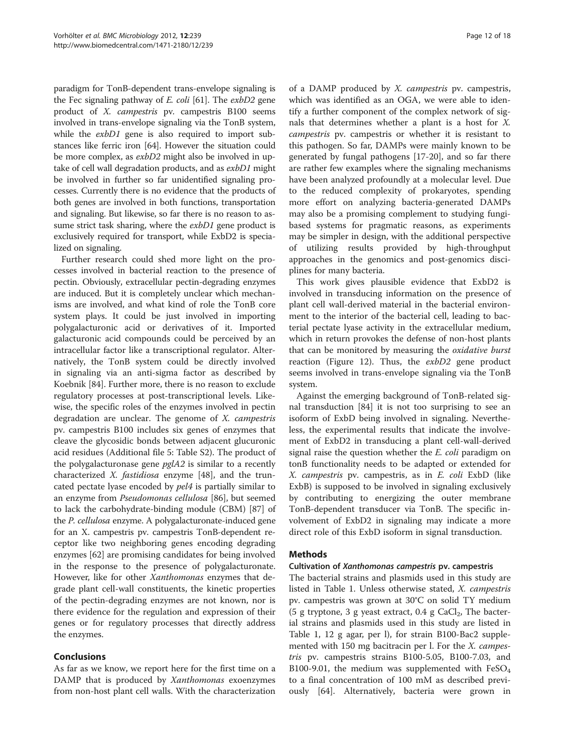paradigm for TonB-dependent trans-envelope signaling is the Fec signaling pathway of  $E$ . coli [\[61\]](#page-16-0). The  $exbD2$  gene product of X. campestris pv. campestris B100 seems involved in trans-envelope signaling via the TonB system, while the *exbD1* gene is also required to import substances like ferric iron [\[64\]](#page-16-0). However the situation could be more complex, as *exbD2* might also be involved in uptake of cell wall degradation products, and as exbD1 might be involved in further so far unidentified signaling processes. Currently there is no evidence that the products of both genes are involved in both functions, transportation and signaling. But likewise, so far there is no reason to assume strict task sharing, where the *exbD1* gene product is exclusively required for transport, while ExbD2 is specialized on signaling.

Further research could shed more light on the processes involved in bacterial reaction to the presence of pectin. Obviously, extracellular pectin-degrading enzymes are induced. But it is completely unclear which mechanisms are involved, and what kind of role the TonB core system plays. It could be just involved in importing polygalacturonic acid or derivatives of it. Imported galacturonic acid compounds could be perceived by an intracellular factor like a transcriptional regulator. Alternatively, the TonB system could be directly involved in signaling via an anti-sigma factor as described by Koebnik [\[84](#page-16-0)]. Further more, there is no reason to exclude regulatory processes at post-transcriptional levels. Likewise, the specific roles of the enzymes involved in pectin degradation are unclear. The genome of  $X$ . *campestris* pv. campestris B100 includes six genes of enzymes that cleave the glycosidic bonds between adjacent glucuronic acid residues (Additional file [5](#page-14-0): Table S2). The product of the polygalacturonase gene  $pgIA2$  is similar to a recently characterized X. fastidiosa enzyme [[48\]](#page-16-0), and the truncated pectate lyase encoded by pel4 is partially similar to an enzyme from Pseudomonas cellulosa [[86](#page-16-0)], but seemed to lack the carbohydrate-binding module (CBM) [[87\]](#page-16-0) of the P. cellulosa enzyme. A polygalacturonate-induced gene for an X. campestris pv. campestris TonB-dependent receptor like two neighboring genes encoding degrading enzymes [\[62](#page-16-0)] are promising candidates for being involved in the response to the presence of polygalacturonate. However, like for other Xanthomonas enzymes that degrade plant cell-wall constituents, the kinetic properties of the pectin-degrading enzymes are not known, nor is there evidence for the regulation and expression of their genes or for regulatory processes that directly address the enzymes.

## Conclusions

As far as we know, we report here for the first time on a DAMP that is produced by Xanthomonas exoenzymes from non-host plant cell walls. With the characterization

of a DAMP produced by  $X$ . *campestris* pv. campestris, which was identified as an OGA, we were able to identify a further component of the complex network of signals that determines whether a plant is a host for X. campestris pv. campestris or whether it is resistant to this pathogen. So far, DAMPs were mainly known to be generated by fungal pathogens [\[17-20](#page-15-0)], and so far there are rather few examples where the signaling mechanisms have been analyzed profoundly at a molecular level. Due to the reduced complexity of prokaryotes, spending more effort on analyzing bacteria-generated DAMPs may also be a promising complement to studying fungibased systems for pragmatic reasons, as experiments may be simpler in design, with the additional perspective of utilizing results provided by high-throughput approaches in the genomics and post-genomics disciplines for many bacteria.

This work gives plausible evidence that ExbD2 is involved in transducing information on the presence of plant cell wall-derived material in the bacterial environment to the interior of the bacterial cell, leading to bacterial pectate lyase activity in the extracellular medium, which in return provokes the defense of non-host plants that can be monitored by measuring the *oxidative burst* reaction (Figure [12](#page-12-0)). Thus, the exbD2 gene product seems involved in trans-envelope signaling via the TonB system.

Against the emerging background of TonB-related signal transduction [[84](#page-16-0)] it is not too surprising to see an isoform of ExbD being involved in signaling. Nevertheless, the experimental results that indicate the involvement of ExbD2 in transducing a plant cell-wall-derived signal raise the question whether the E. coli paradigm on tonB functionality needs to be adapted or extended for X. campestris pv. campestris, as in E. coli ExbD (like ExbB) is supposed to be involved in signaling exclusively by contributing to energizing the outer membrane TonB-dependent transducer via TonB. The specific involvement of ExbD2 in signaling may indicate a more direct role of this ExbD isoform in signal transduction.

## Methods

#### Cultivation of Xanthomonas campestris pv. campestris

The bacterial strains and plasmids used in this study are listed in Table [1.](#page-13-0) Unless otherwise stated, X. campestris pv. campestris was grown at 30°C on solid TY medium (5 g tryptone, 3 g yeast extract, 0.4 g  $CaCl<sub>2</sub>$ , The bacterial strains and plasmids used in this study are listed in Table [1,](#page-13-0) 12 g agar, per l), for strain B100-Bac2 supplemented with 150 mg bacitracin per l. For the *X. campes*tris pv. campestris strains B100-5.05, B100-7.03, and B100-9.01, the medium was supplemented with  $FeSO<sub>4</sub>$ to a final concentration of 100 mM as described previously [\[64](#page-16-0)]. Alternatively, bacteria were grown in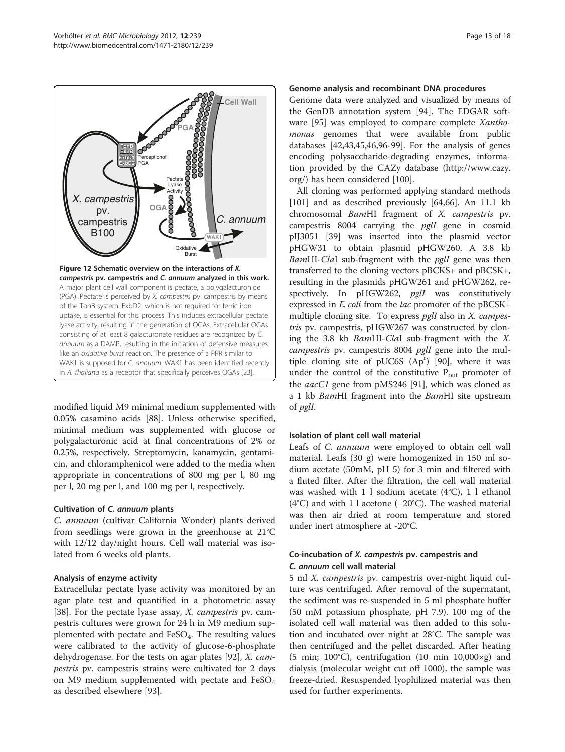(PGA). Pectate is perceived by X. campestris pv. campestris by means uptake, is essential for this process. This induces extracellular pectate lyase activity, resulting in the generation of OGAs. Extracellular OGAs WAK1 is supposed for C. annuum. WAK1 has been identified recently in A. thaliana as a receptor that specifically perceives OGAs [[23](#page-15-0)].

modified liquid M9 minimal medium supplemented with 0.05% casamino acids [[88\]](#page-16-0). Unless otherwise specified, minimal medium was supplemented with glucose or polygalacturonic acid at final concentrations of 2% or 0.25%, respectively. Streptomycin, kanamycin, gentamicin, and chloramphenicol were added to the media when appropriate in concentrations of 800 mg per l, 80 mg per l, 20 mg per l, and 100 mg per l, respectively.

#### Cultivation of C. annuum plants

C. annuum (cultivar California Wonder) plants derived from seedlings were grown in the greenhouse at 21°C with 12/12 day/night hours. Cell wall material was isolated from 6 weeks old plants.

#### Analysis of enzyme activity

Extracellular pectate lyase activity was monitored by an agar plate test and quantified in a photometric assay [[38\]](#page-15-0). For the pectate lyase assay, X. campestris pv. campestris cultures were grown for 24 h in M9 medium supplemented with pectate and  $FeSO<sub>4</sub>$ . The resulting values were calibrated to the activity of glucose-6-phosphate dehydrogenase. For the tests on agar plates [\[92](#page-17-0)], X. campestris pv. campestris strains were cultivated for 2 days on M9 medium supplemented with pectate and  $FeSO<sub>4</sub>$ as described elsewhere [[93](#page-17-0)].

### Genome analysis and recombinant DNA procedures

Genome data were analyzed and visualized by means of the GenDB annotation system [[94\]](#page-17-0). The EDGAR software [\[95](#page-17-0)] was employed to compare complete Xanthomonas genomes that were available from public databases [\[42,43,45,46,](#page-15-0)[96-99](#page-17-0)]. For the analysis of genes encoding polysaccharide-degrading enzymes, information provided by the CAZy database [\(http://www.cazy.](http://www.cazy.org/) [org/\)](http://www.cazy.org/) has been considered [\[100\]](#page-17-0).

All cloning was performed applying standard methods [[101\]](#page-17-0) and as described previously [\[64,66](#page-16-0)]. An 11.1 kb chromosomal BamHI fragment of X. campestris pv. campestris 8004 carrying the pglI gene in cosmid pIJ3051 [[39](#page-15-0)] was inserted into the plasmid vector pHGW31 to obtain plasmid pHGW260. A 3.8 kb BamHI-ClaI sub-fragment with the *pglI* gene was then transferred to the cloning vectors pBCKS+ and pBCSK+, resulting in the plasmids pHGW261 and pHGW262, respectively. In pHGW262, pglI was constitutively expressed in *E. coli* from the *lac* promoter of the pBCSK+ multiple cloning site. To express  $pglI$  also in  $X$ . campestris pv. campestris, pHGW267 was constructed by cloning the 3.8 kb BamHI-ClaI sub-fragment with the X. campestris pv. campestris 8004 pglI gene into the multiple cloning site of pUC6S  $(Ap<sup>r</sup>)$  [\[90](#page-17-0)], where it was under the control of the constitutive  $P_{out}$  promoter of the aacC1 gene from pMS246 [[91](#page-17-0)], which was cloned as a 1 kb BamHI fragment into the BamHI site upstream of pglI.

#### Isolation of plant cell wall material

Leafs of C. annuum were employed to obtain cell wall material. Leafs (30 g) were homogenized in 150 ml sodium acetate (50mM, pH 5) for 3 min and filtered with a fluted filter. After the filtration, the cell wall material was washed with 1 l sodium acetate (4°C), 1 l ethanol (4°C) and with 1 l acetone (−20°C). The washed material was then air dried at room temperature and stored under inert atmosphere at -20°C.

#### Co-incubation of X. campestris pv. campestris and C. annuum cell wall material

5 ml X. campestris pv. campestris over-night liquid culture was centrifuged. After removal of the supernatant, the sediment was re-suspended in 5 ml phosphate buffer (50 mM potassium phosphate, pH 7.9). 100 mg of the isolated cell wall material was then added to this solution and incubated over night at 28°C. The sample was then centrifuged and the pellet discarded. After heating (5 min; 100°C), centrifugation (10 min 10,000 $\times$ g) and dialysis (molecular weight cut off 1000), the sample was freeze-dried. Resuspended lyophilized material was then used for further experiments.

<span id="page-12-0"></span>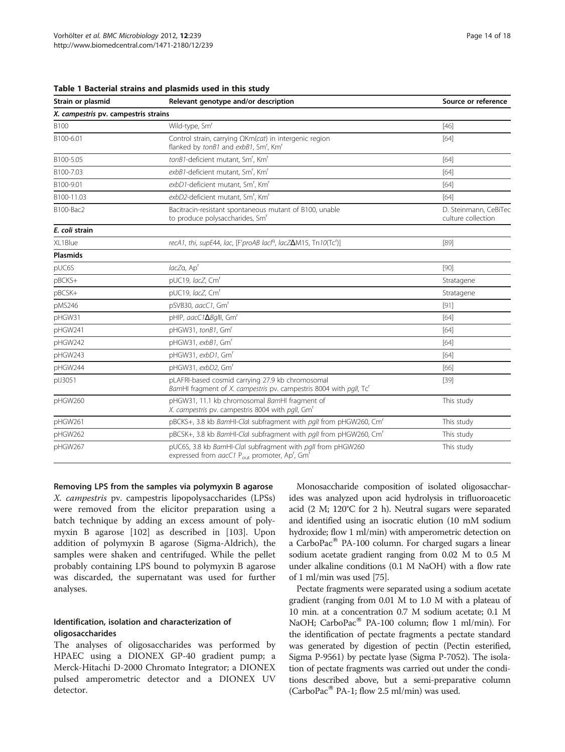| Strain or plasmid                    | Relevant genotype and/or description                                                                                                             | Source or reference                         |
|--------------------------------------|--------------------------------------------------------------------------------------------------------------------------------------------------|---------------------------------------------|
| X. campestris pv. campestris strains |                                                                                                                                                  |                                             |
| <b>B100</b>                          | Wild-type, Sm <sup>r</sup>                                                                                                                       | $[46]$                                      |
| B100-6.01                            | Control strain, carrying ΩKm(cat) in intergenic region<br>flanked by tonB1 and exbB1, Sm <sup>r</sup> , Km <sup>r</sup>                          | [64]                                        |
| B100-5.05                            | tonB1-deficient mutant, Sm <sup>r</sup> , Km <sup>r</sup>                                                                                        | [64]                                        |
| B100-7.03                            | exbB1-deficient mutant, Sm <sup>r</sup> , Km <sup>r</sup>                                                                                        | [64]                                        |
| B100-9.01                            | exbD1-deficient mutant, Sm <sup>r</sup> , Km <sup>r</sup>                                                                                        | [64]                                        |
| B100-11.03                           | exbD2-deficient mutant, Sm <sup>r</sup> , Km <sup>r</sup>                                                                                        | [64]                                        |
| B100-Bac2                            | Bacitracin-resistant spontaneous mutant of B100, unable<br>to produce polysaccharides, Sm <sup>r</sup>                                           | D. Steinmann, CeBiTec<br>culture collection |
| E. coli strain                       |                                                                                                                                                  |                                             |
| XL1Blue                              | recA1, thi, supE44, lac, [F'proAB lacf <sup>q</sup> , lacZ <b>Δ</b> M15, Tn10(Tc <sup>r</sup> )]                                                 | [89]                                        |
| <b>Plasmids</b>                      |                                                                                                                                                  |                                             |
| pUC6S                                | lacZa, Apr                                                                                                                                       | [90]                                        |
| pBCKS+                               | pUC19, lacZ, Cm <sup>r</sup>                                                                                                                     | Stratagene                                  |
| pBCSK+                               | pUC19, lacZ, Cm                                                                                                                                  | Stratagene                                  |
| pMS246                               | pSVB30, aacC1, Gm <sup>r</sup>                                                                                                                   | $[91]$                                      |
| pHGW31                               | pHIP, aacC1∆Bg/II, Gm <sup>r</sup>                                                                                                               | [64]                                        |
| pHGW241                              | pHGW31, tonB1, Gm <sup>r</sup>                                                                                                                   | [64]                                        |
| pHGW242                              | pHGW31, exbB1, Gm <sup>r</sup>                                                                                                                   | [64]                                        |
| pHGW243                              | pHGW31, exbD1, Gm <sup>r</sup>                                                                                                                   | [64]                                        |
| pHGW244                              | pHGW31, exbD2, Gm <sup>r</sup>                                                                                                                   | [66]                                        |
| plJ3051                              | pLAFRI-based cosmid carrying 27.9 kb chromosomal<br>BamHI fragment of X. campestris pv. campestris 8004 with pgll, Tc'                           | $[39]$                                      |
| pHGW260                              | pHGW31, 11.1 kb chromosomal BamHI fragment of<br>X. campestris pv. campestris 8004 with pall, Gm <sup>r</sup>                                    | This study                                  |
| pHGW261                              | pBCKS+, 3.8 kb BamHI-ClaI subfragment with pgll from pHGW260, Cm <sup>r</sup>                                                                    | This study                                  |
| pHGW262                              | pBCSK+, 3.8 kb BamHI-ClaI subfragment with pgll from pHGW260, Cm <sup>r</sup>                                                                    | This study                                  |
| pHGW267                              | pUC6S, 3.8 kb BamHI-ClaI subfragment with pgll from pHGW260<br>expressed from aacC1 P <sub>out</sub> promoter, Ap <sup>r</sup> , Gm <sup>r</sup> | This study                                  |

<span id="page-13-0"></span>Table 1 Bacterial strains and plasmids used in this study

Removing LPS from the samples via polymyxin B agarose X. campestris pv. campestris lipopolysaccharides (LPSs) were removed from the elicitor preparation using a batch technique by adding an excess amount of polymyxin B agarose [\[102](#page-17-0)] as described in [\[103](#page-17-0)]. Upon addition of polymyxin B agarose (Sigma-Aldrich), the samples were shaken and centrifuged. While the pellet probably containing LPS bound to polymyxin B agarose was discarded, the supernatant was used for further analyses.

### Identification, isolation and characterization of oligosaccharides

The analyses of oligosaccharides was performed by HPAEC using a DIONEX GP-40 gradient pump; a Merck-Hitachi D-2000 Chromato Integrator; a DIONEX pulsed amperometric detector and a DIONEX UV detector.

Monosaccharide composition of isolated oligosaccharides was analyzed upon acid hydrolysis in trifluoroacetic acid (2 M; 120°C for 2 h). Neutral sugars were separated and identified using an isocratic elution (10 mM sodium hydroxide; flow 1 ml/min) with amperometric detection on a CarboPac® PA-100 column. For charged sugars a linear sodium acetate gradient ranging from 0.02 M to 0.5 M under alkaline conditions (0.1 M NaOH) with a flow rate of 1 ml/min was used [[75](#page-16-0)].

Pectate fragments were separated using a sodium acetate gradient (ranging from 0.01 M to 1.0 M with a plateau of 10 min. at a concentration 0.7 M sodium acetate; 0.1 M NaOH; CarboPac® PA-100 column; flow 1 ml/min). For the identification of pectate fragments a pectate standard was generated by digestion of pectin (Pectin esterified, Sigma P-9561) by pectate lyase (Sigma P-7052). The isolation of pectate fragments was carried out under the conditions described above, but a semi-preparative column (CarboPac® PA-1; flow 2.5 ml/min) was used.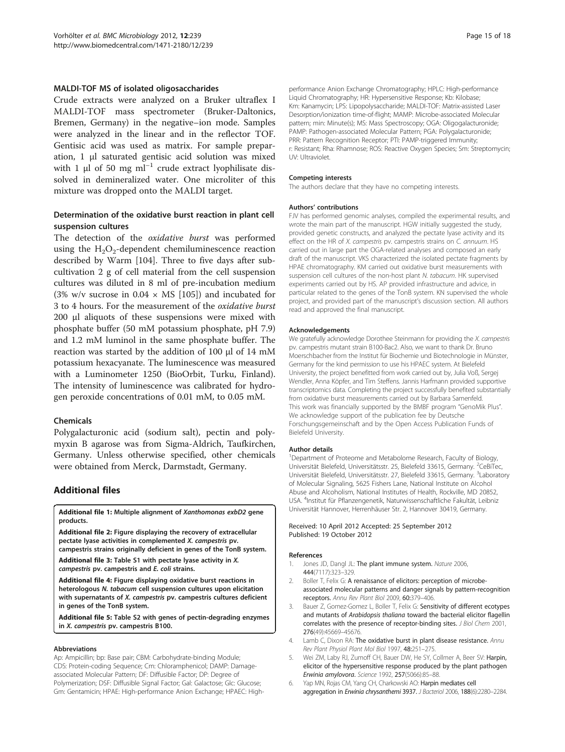#### <span id="page-14-0"></span>MALDI-TOF MS of isolated oligosaccharides

Crude extracts were analyzed on a Bruker ultraflex I MALDI-TOF mass spectrometer (Bruker-Daltonics, Bremen, Germany) in the negative–ion mode. Samples were analyzed in the linear and in the reflector TOF. Gentisic acid was used as matrix. For sample preparation, 1 μl saturated gentisic acid solution was mixed with 1  $\mu$ l of 50 mg ml<sup>-1</sup> crude extract lyophilisate dissolved in demineralized water. One microliter of this mixture was dropped onto the MALDI target.

#### Determination of the oxidative burst reaction in plant cell suspension cultures

The detection of the *oxidative burst* was performed using the  $H_2O_2$ -dependent chemiluminescence reaction described by Warm [\[104\]](#page-17-0). Three to five days after subcultivation 2 g of cell material from the cell suspension cultures was diluted in 8 ml of pre-incubation medium (3% w/v sucrose in 0.04  $\times$  MS [\[105](#page-17-0)]) and incubated for 3 to 4 hours. For the measurement of the oxidative burst 200 μl aliquots of these suspensions were mixed with phosphate buffer (50 mM potassium phosphate, pH 7.9) and 1.2 mM luminol in the same phosphate buffer. The reaction was started by the addition of 100 μl of 14 mM potassium hexacyanate. The luminescence was measured with a Luminometer 1250 (BioOrbit, Turku, Finland). The intensity of luminescence was calibrated for hydrogen peroxide concentrations of 0.01 mM, to 0.05 mM.

#### Chemicals

Polygalacturonic acid (sodium salt), pectin and polymyxin B agarose was from Sigma-Aldrich, Taufkirchen, Germany. Unless otherwise specified, other chemicals were obtained from Merck, Darmstadt, Germany.

#### Additional files

[Additional file 1:](http://www.biomedcentral.com/content/supplementary/1471-2180-12-239-S1.pdf) Multiple alignment of Xanthomonas exbD2 gene products.

[Additional file 2:](http://www.biomedcentral.com/content/supplementary/1471-2180-12-239-S2.pdf) Figure displaying the recovery of extracellular pectate lyase activities in complemented X. campestris pv. campestris strains originally deficient in genes of the TonB system.

[Additional file 3:](http://www.biomedcentral.com/content/supplementary/1471-2180-12-239-S3.pdf) Table S1 with pectate lyase activity in X.

campestris pv. campestris and E. coli strains.

[Additional file 4:](http://www.biomedcentral.com/content/supplementary/1471-2180-12-239-S4.pdf) Figure displaying oxidative burst reactions in heterologous N. tabacum cell suspension cultures upon elicitation with supernatants of X. campestris pv. campestris cultures deficient in genes of the TonB system.

[Additional file 5:](http://www.biomedcentral.com/content/supplementary/1471-2180-12-239-S5.pdf) Table S2 with genes of pectin-degrading enzymes in X. campestris pv. campestris B100.

#### Abbreviations

Ap: Ampicillin; bp: Base pair; CBM: Carbohydrate-binding Module; CDS: Protein-coding Sequence; Cm: Chloramphenicol; DAMP: Damageassociated Molecular Pattern; DF: Diffusible Factor; DP: Degree of Polymerization; DSF: Diffusible Signal Factor; Gal: Galactose; Glc: Glucose; Gm: Gentamicin; HPAE: High-performance Anion Exchange; HPAEC: High-

performance Anion Exchange Chromatography; HPLC: High-performance Liquid Chromatography; HR: Hypersensitive Response; Kb: Kilobase; Km: Kanamycin; LPS: Lipopolysaccharide; MALDI-TOF: Matrix-assisted Laser Desorption/ionization time-of-flight; MAMP: Microbe-associated Molecular pattern; min: Minute(s); MS: Mass Spectroscopy; OGA: Oligogalacturonide; PAMP: Pathogen-associated Molecular Pattern; PGA: Polygalacturonide; PRR: Pattern Recognition Receptor; PTI: PAMP-triggered Immunity; r: Resistant; Rha: Rhamnose; ROS: Reactive Oxygen Species; Sm: Streptomycin; UV: Ultraviolet.

#### Competing interests

The authors declare that they have no competing interests.

#### Authors' contributions

FJV has performed genomic analyses, compiled the experimental results, and wrote the main part of the manuscript. HGW initially suggested the study, provided genetic constructs, and analyzed the pectate lyase activity and its effect on the HR of X. campestris pv. campestris strains on C. annuum. HS carried out in large part the OGA-related analyses and composed an early draft of the manuscript. VKS characterized the isolated pectate fragments by HPAE chromatography. KM carried out oxidative burst measurements with suspension cell cultures of the non-host plant N. tabacum. HK supervised experiments carried out by HS. AP provided infrastructure and advice, in particular related to the genes of the TonB system. KN supervised the whole project, and provided part of the manuscript's discussion section. All authors read and approved the final manuscript.

#### Acknowledgements

We gratefully acknowledge Dorothee Steinmann for providing the X. campestris pv. campestris mutant strain B100-Bac2. Also, we want to thank Dr. Bruno Moerschbacher from the Institut für Biochemie und Biotechnologie in Münster, Germany for the kind permission to use his HPAEC system. At Bielefeld University, the project benefitted from work carried out by, Julia Voß, Sergej Wendler, Anna Köpfer, and Tim Steffens. Jannis Harfmann provided supportive transcriptomics data. Completing the project successfully benefited substantially from oxidative burst measurements carried out by Barbara Samenfeld. This work was financially supported by the BMBF program "GenoMik Plus". We acknowledge support of the publication fee by Deutsche Forschungsgemeinschaft and by the Open Access Publication Funds of Bielefeld University.

#### Author details

<sup>1</sup>Department of Proteome and Metabolome Research, Faculty of Biology, Universität Bielefeld, Universitätsstr. 25, Bielefeld 33615, Germany. <sup>2</sup>CeBiTec, Universität Bielefeld, Universitätsstr. 27, Bielefeld 33615, Germany. <sup>3</sup>Laboratory of Molecular Signaling, 5625 Fishers Lane, National Institute on Alcohol Abuse and Alcoholism, National Institutes of Health, Rockville, MD 20852, USA. <sup>4</sup>Institut für Pflanzengenetik, Naturwissenschaftliche Fakultät, Leibniz Universität Hannover, Herrenhäuser Str. 2, Hannover 30419, Germany.

#### Received: 10 April 2012 Accepted: 25 September 2012 Published: 19 October 2012

#### References

- 1. Jones JD, Dangl JL: The plant immune system. Nature 2006, 444(7117):323–329.
- 2. Boller T, Felix G: A renaissance of elicitors: perception of microbeassociated molecular patterns and danger signals by pattern-recognition receptors. Annu Rev Plant Biol 2009, 60:379–406.
- 3. Bauer Z, Gomez-Gomez L, Boller T, Felix G: Sensitivity of different ecotypes and mutants of Arabidopsis thaliana toward the bacterial elicitor flagellin correlates with the presence of receptor-binding sites. J Biol Chem 2001, 276(49):45669–45676.
- 4. Lamb C, Dixon RA: The oxidative burst in plant disease resistance. Annu Rev Plant Physiol Plant Mol Biol 1997, 48:251–275.
- 5. Wei ZM, Laby RJ, Zumoff CH, Bauer DW, He SY, Collmer A, Beer SV: Harpin, elicitor of the hypersensitive response produced by the plant pathogen Erwinia amylovora. Science 1992, 257(5066):85–88.
- 6. Yap MN, Rojas CM, Yang CH, Charkowski AO: Harpin mediates cell aggregation in Erwinia chrysanthemi 3937. J Bacteriol 2006, 188(6):2280–2284.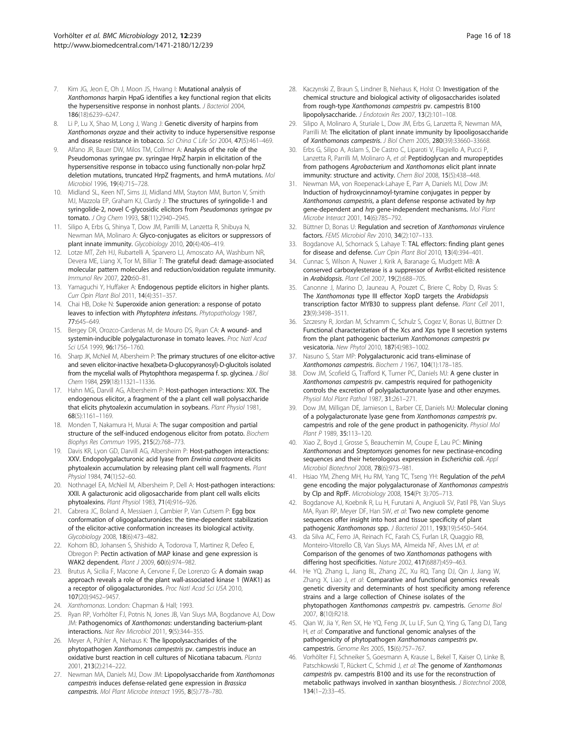- <span id="page-15-0"></span>7. Kim JG, Jeon E, Oh J, Moon JS, Hwang I: Mutational analysis of Xanthomonas harpin HpaG identifies a key functional region that elicits the hypersensitive response in nonhost plants. J Bacteriol 2004, 186(18):6239–6247.
- 8. Li P, Lu X, Shao M, Long J, Wang J: Genetic diversity of harpins from Xanthomonas oryzae and their activity to induce hypersensitive response and disease resistance in tobacco. Sci China C Life Sci 2004, 47(5):461–469.
- Alfano JR, Bauer DW, Milos TM, Collmer A: Analysis of the role of the Pseudomonas syringae pv. syringae HrpZ harpin in elicitation of the hypersensitive response in tobacco using functionally non-polar hrpZ deletion mutations, truncated HrpZ fragments, and hrmA mutations. Mol Microbiol 1996, 19(4):715–728.
- 10. Midland SL, Keen NT, Sims JJ, Midland MM, Stayton MM, Burton V, Smith MJ, Mazzola EP, Graham KJ, Clardy J: The structures of syringolide-1 and syringolide-2, novel C-glycosidic elicitors from Pseudomonas syringae pv tomato. J Org Chem 1993, 58(11):2940–2945.
- 11. Silipo A, Erbs G, Shinya T, Dow JM, Parrilli M, Lanzetta R, Shibuya N, Newman MA, Molinaro A: Glyco-conjugates as elicitors or suppressors of plant innate immunity. Glycobiology 2010, 20(4):406–419.
- 12. Lotze MT, Zeh HJ, Rubartelli A, Sparvero LJ, Amoscato AA, Washburn NR, Devera ME, Liang X, Tor M, Billiar T: The grateful dead: damage-associated molecular pattern molecules and reduction/oxidation regulate immunity. Immunol Rev 2007, 220:60–81.
- 13. Yamaguchi Y, Huffaker A: Endogenous peptide elicitors in higher plants. Curr Opin Plant Biol 2011, 14(4):351–357.
- 14. Chai HB, Doke N: Superoxide anion generation: a response of potato leaves to infection with Phytophtera infestans. Phytopathology 1987, 77:645–649.
- 15. Bergey DR, Orozco-Cardenas M, de Mouro DS, Ryan CA: A wound- and systemin-inducible polygalacturonase in tomato leaves. Proc Natl Acad Sci USA 1999, 96:1756–1760.
- 16. Sharp JK, McNeil M, Albersheim P: The primary structures of one elicitor-active and seven elicitor-inactive hexa(beta-D-glucopyranosyl)-D-glucitols isolated from the mycelial walls of Phytophthora megasperma f. sp. glycinea. J Biol Chem 1984, 259(18):11321–11336.
- 17. Hahn MG, Darvill AG, Albersheim P: Host-pathogen interactions: XIX. The endogenous elicitor, a fragment of the a plant cell wall polysaccharide that elicits phytoalexin accumulation in soybeans. Plant Physiol 1981, 68(5):1161–1169.
- 18. Monden T, Nakamura H, Murai A: The sugar composition and partial structure of the self-induced endogenous elicitor from potato. Biochem Biophys Res Commun 1995, 215(2):768–773.
- 19. Davis KR, Lyon GD, Darvill AG, Albersheim P: Host-pathogen interactions: XXV. Endopolygalacturonic acid lyase from Erwinia carotovora elicits phytoalexin accumulation by releasing plant cell wall fragments. Plant Physiol 1984, 74(1):52–60.
- 20. Nothnagel EA, McNeil M, Albersheim P, Dell A: Host-pathogen interactions: XXII. A galacturonic acid oligosaccharide from plant cell walls elicits phytoalexins. Plant Physiol 1983, 71(4):916–926.
- 21. Cabrera JC, Boland A, Messiaen J, Cambier P, Van Cutsem P: Egg box conformation of oligogalacturonides: the time-dependent stabilization of the elicitor-active conformation increases its biological activity. Glycobiology 2008, 18(6):473–482.
- 22. Kohorn BD, Johansen S, Shishido A, Todorova T, Martinez R, Defeo E, Obregon P: Pectin activation of MAP kinase and gene expression is WAK2 dependent. Plant J 2009, 60(6):974-982.
- 23. Brutus A, Sicilia F, Macone A, Cervone F, De Lorenzo G: A domain swap approach reveals a role of the plant wall-associated kinase 1 (WAK1) as a receptor of oligogalacturonides. Proc Natl Acad Sci USA 2010, 107(20):9452–9457.
- 24. Xanthomonas. London: Chapman & Hall; 1993.
- 25. Ryan RP, Vorhölter FJ, Potnis N, Jones JB, Van Sluys MA, Bogdanove AJ, Dow JM: Pathogenomics of Xanthomonas: understanding bacterium-plant interactions. Nat Rev Microbiol 2011, 9(5):344–355.
- 26. Meyer A, Pühler A, Niehaus K: The lipopolysaccharides of the phytopathogen Xanthomonas campestris pv. campestris induce an oxidative burst reaction in cell cultures of Nicotiana tabacum. Planta 2001, 213(2):214–222.
- 27. Newman MA, Daniels MJ, Dow JM: Lipopolysaccharide from Xanthomonas campestris induces defense-related gene expression in Brassica campestris. Mol Plant Microbe Interact 1995, 8(5):778–780.
- 28. Kaczynski Z, Braun S, Lindner B, Niehaus K, Holst O: Investigation of the chemical structure and biological activity of oligosaccharides isolated from rough-type Xanthomonas campestris pv. campestris B100 lipopolysaccharide. J Endotoxin Res 2007, 13(2):101–108.
- 29. Silipo A, Molinaro A, Sturiale L, Dow JM, Erbs G, Lanzetta R, Newman MA, Parrilli M: The elicitation of plant innate immunity by lipooligosaccharide of Xanthomonas campestris. J Biol Chem 2005, 280(39):33660–33668.
- 30. Erbs G, Silipo A, Aslam S, De Castro C, Liparoti V, Flagiello A, Pucci P, Lanzetta R, Parrilli M, Molinaro A, et al: Peptidoglycan and muropeptides from pathogens Agrobacterium and Xanthomonas elicit plant innate immunity: structure and activity. Chem Biol 2008, 15(5):438–448.
- 31. Newman MA, von Roepenack-Lahaye E, Parr A, Daniels MJ, Dow JM: Induction of hydroxycinnamoyl-tyramine conjugates in pepper by Xanthomonas campestris, a plant defense response activated by hrp gene-dependent and hrp gene-independent mechanisms. Mol Plant Microbe Interact 2001, 14(6):785–792.
- 32. Büttner D, Bonas U: Regulation and secretion of Xanthomonas virulence factors. FEMS Microbiol Rev 2010, 34(2):107–133.
- 33. Bogdanove AJ, Schornack S, Lahaye T: TAL effectors: finding plant genes for disease and defense. Curr Opin Plant Biol 2010, 13(4):394–401.
- 34. Cunnac S, Wilson A, Nuwer J, Kirik A, Baranage G, Mudgett MB: A conserved carboxylesterase is a suppressor of AvrBst-elicited resistence in Arabidopsis. Plant Cell 2007, 19(2):688–705.
- 35. Canonne J, Marino D, Jauneau A, Pouzet C, Briere C, Roby D, Rivas S: The Xanthomonas type III effector XopD targets the Arabidopsis transcription factor MYB30 to suppress plant defense. Plant Cell 2011, 23(9):3498–3511.
- 36. Szczesny R, Jordan M, Schramm C, Schulz S, Cogez V, Bonas U, Büttner D: Functional characterization of the Xcs and Xps type II secretion systems from the plant pathogenic bacterium Xanthomonas campestris pv vesicatoria. New Phytol 2010, 187(4):983–1002.
- 37. Nasuno S, Starr MP: Polygalacturonic acid trans-eliminase of Xanthomonas campestris. Biochem J 1967, 104(1):178–185.
- 38. Dow JM, Scofield G, Trafford K, Turner PC, Daniels MJ: A gene cluster in Xanthomonas campestris pv. campestris required for pathogenicity controls the excretion of polygalacturonate lyase and other enzymes. Physiol Mol Plant Pathol 1987, 31:261–271.
- 39. Dow JM, Milligan DE, Jamieson L, Barber CE, Daniels MJ: Molecular cloning of a polygalacturonate lyase gene from Xanthomonas campestris pv. campestris and role of the gene product in pathogenicity. Physiol Mol Plant P 1989, 35:113–120.
- 40. Xiao Z, Boyd J, Grosse S, Beauchemin M, Coupe E, Lau PC: Mining Xanthomonas and Streptomyces genomes for new pectinase-encoding sequences and their heterologous expression in Escherichia coli. Appl Microbiol Biotechnol 2008, 78(6):973–981.
- 41. Hsiao YM, Zheng MH, Hu RM, Yang TC, Tseng YH: Regulation of the pehA gene encoding the major polygalacturonase of Xanthomonas campestris by Clp and RpfF. Microbiology 2008, 154(Pt 3):705–713.
- 42. Bogdanove AJ, Koebnik R, Lu H, Furutani A, Angiuoli SV, Patil PB, Van Sluys MA, Ryan RP, Meyer DF, Han SW, et al: Two new complete genome sequences offer insight into host and tissue specificity of plant pathogenic Xanthomonas spp. J Bacteriol 2011, 193(19):5450–5464.
- 43. da Silva AC, Ferro JA, Reinach FC, Farah CS, Furlan LR, Quaggio RB, Monteiro-Vitorello CB, Van Sluys MA, Almeida NF, Alves LM, et al: Comparison of the genomes of two Xanthomonas pathogens with differing host specificities. Nature 2002, 417(6887):459–463.
- He YQ, Zhang L, Jiang BL, Zhang ZC, Xu RQ, Tang DJ, Qin J, Jiang W, Zhang X, Liao J, et al: Comparative and functional genomics reveals genetic diversity and determinants of host specificity among reference strains and a large collection of Chinese isolates of the phytopathogen Xanthomonas campestris pv. campestris. Genome Biol 2007, 8(10):R218.
- 45. Qian W, Jia Y, Ren SX, He YQ, Feng JX, Lu LF, Sun Q, Ying G, Tang DJ, Tang H, et al: Comparative and functional genomic analyses of the pathogenicity of phytopathogen Xanthomonas campestris pv. campestris. Genome Res 2005, 15(6):757–767.
- 46. Vorhölter FJ, Schneiker S, Goesmann A, Krause L, Bekel T, Kaiser O, Linke B, Patschkowski T, Rückert C, Schmid J, et al: The genome of Xanthomonas campestris pv. campestris B100 and its use for the reconstruction of metabolic pathways involved in xanthan biosynthesis. J Biotechnol 2008, 134(1–2):33–45.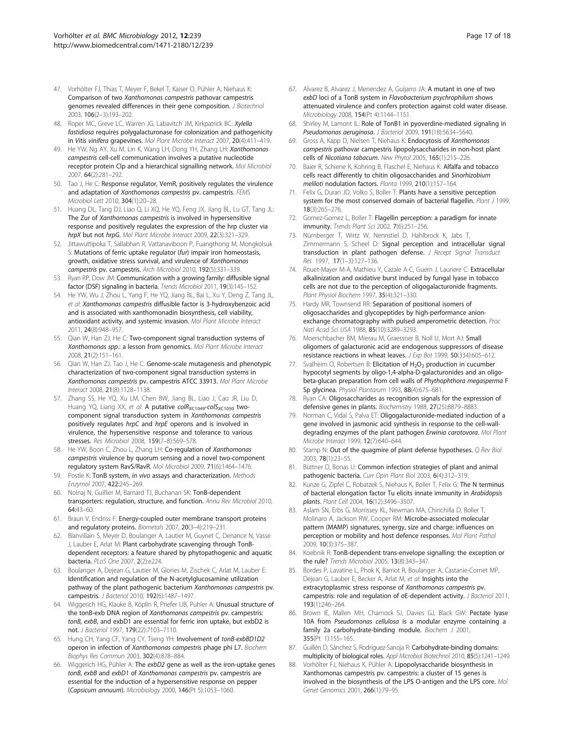- <span id="page-16-0"></span>47. Vorhölter FJ, Thias T, Meyer F, Bekel T, Kaiser O, Pühler A, Niehaus K: Comparison of two Xanthomonas campestris pathovar campestris genomes revealed differences in their gene composition. J Biotechnol 2003, 106(2–3):193–202.
- 48. Roper MC, Greve LC, Warren JG, Labavitch JM, Kirkpatrick BC: Xylella fastidiosa requires polygalacturonase for colonization and pathogenicity in Vitis vinifera grapevines. Mol Plant Microbe Interact 2007, 20(4):411-419.
- 49. He YW, Ng AY, Xu M, Lin K, Wang LH, Dong YH, Zhang LH: Xanthomonas campestris cell-cell communication involves a putative nucleotide receptor protein Clp and a hierarchical signalling network. Mol Microbiol 2007, 64(2):281–292.
- 50. Tao J, He C: Response regulator, VemR, positively regulates the virulence and adaptation of Xanthomonas campestris pv. campestris. FEMS Microbiol Lett 2010, 304(1):20–28.
- 51. Huang DL, Tang DJ, Liao Q, Li XQ, He YQ, Feng JX, Jiang BL, Lu GT, Tang JL: The Zur of Xanthomonas campestris is involved in hypersensitive response and positively regulates the expression of the hrp cluster via hrpX but not hrpG. Mol Plant Microbe Interact 2009, 22(3):321–329.
- 52. Jittawuttipoka T, Sallabhan R, Vattanaviboon P, Fuangthong M, Mongkolsuk S: Mutations of ferric uptake regulator (fur) impair iron homeostasis, growth, oxidative stress survival, and virulence of Xanthomonas campestris pv. campestris. Arch Microbiol 2010, 192(5):331–339.
- 53. Ryan RP, Dow JM: Communication with a growing family: diffusible signal factor (DSF) signaling in bacteria. Trends Microbiol 2011, 19(3):145–152.
- 54. He YW, Wu J, Zhou L, Yang F, He YQ, Jiang BL, Bai L, Xu Y, Deng Z, Tang JL, et al: Xanthomonas campestris diffusible factor is 3-hydroxybenzoic acid and is associated with xanthomonadin biosynthesis, cell viability, antioxidant activity, and systemic invasion. Mol Plant Microbe Interact 2011, 24(8):948–957.
- 55. Qian W, Han ZJ, He C: Two-component signal transduction systems of Xanthomonas spp.: a lesson from genomics. Mol Plant Microbe Interact 2008, 21(2):151–161.
- 56. Qian W, Han ZJ, Tao J, He C: Genome-scale mutagenesis and phenotypic characterization of two-component signal transduction systems in Xanthomonas campestris pv. campestris ATCC 33913. Mol Plant Microbe Interact 2008, 21(8):1128–1138.
- 57. Zhang SS, He YQ, Xu LM, Chen BW, Jiang BL, Liao J, Cao JR, Liu D, Huang YQ, Liang XX, et al: A putative  $colR_{XC1049}$ -colS<sub>XC1050</sub> twocomponent signal transduction system in Xanthomonas campestris positively regulates hrpC and hrpE operons and is involved in virulence, the hypersensitive response and tolerance to various stresses. Res Microbiol 2008, 159(7–8):569–578.
- 58. He YW, Boon C, Zhou L, Zhang LH: Co-regulation of Xanthomonas campestris virulence by quorum sensing and a novel two-component regulatory system RavS/RavR. Mol Microbiol 2009, 71(6):1464–1476.
- 59. Postle K: TonB system, in vivo assays and characterization. Methods Enzymol 2007, 422:245–269.
- 60. Noinaj N, Guillier M, Barnard TJ, Buchanan SK: TonB-dependent transporters: regulation, structure, and function. Annu Rev Microbiol 2010, 64:43–60.
- 61. Braun V, Endriss F: Energy-coupled outer membrane transport proteins and regulatory proteins. Biometals 2007, 20(3–4):219–231.
- 62. Blanvillain S, Meyer D, Boulanger A, Lautier M, Guynet C, Denance N, Vasse J, Lauber E, Arlat M: Plant carbohydrate scavenging through TonBdependent receptors: a feature shared by phytopathogenic and aquatic bacteria. PLoS One 2007, 2(2):e224.
- 63. Boulanger A, Dejean G, Lautier M, Glories M, Zischek C, Arlat M, Lauber E: Identification and regulation of the N-acetylglucosamine utilization pathway of the plant pathogenic bacterium Xanthomonas campestris pv. campestris. J Bacteriol 2010, 192(6):1487–1497.
- 64. Wiggerich HG, Klauke B, Köplin R, Priefer UB, Puhler A: Unusual structure of the tonB-exb DNA region of Xanthomonas campestris pv. campestris: tonB, exbB, and exbD1 are essential for ferric iron uptake, but exbD2 is not. J Bacteriol 1997, 179(22):7103–7110.
- 65. Hung CH, Yang CF, Yang CY, Tseng YH: Involvement of tonB-exbBD1D2 operon in infection of Xanthomonas campestris phage phi L7. Biochem Biophys Res Commun 2003, 302(4):878–884.
- 66. Wiggerich HG, Pühler A: The exbD2 gene as well as the iron-uptake genes tonB, exbB and exbD1 of Xanthomonas campestris pv. campestris are essential for the induction of a hypersensitive response on pepper (Capsicum annuum). Microbiology 2000, 146(Pt 5):1053–1060.
- 67. Alvarez B, Alvarez J, Menendez A, Guijarro JA: A mutant in one of two exbD loci of a TonB system in Flavobacterium psychrophilum shows attenuated virulence and confers protection against cold water disease. Microbiology 2008, 154(Pt 4):1144–1151.
- 68. Shirley M, Lamont IL: Role of TonB1 in pyoverdine-mediated signaling in Pseudomonas aeruginosa. J Bacteriol 2009, 191(18):5634–5640.
- 69. Gross A, Kapp D, Nielsen T, Niehaus K: Endocytosis of Xanthomonas campestris pathovar campestris lipopolysaccharides in non-host plant cells of Nicotiana tabacum. New Phytol 2005, 165(1):215–226.
- 70. Baier R, Schiene K, Kohring B, Flaschel E, Niehaus K: Alfalfa and tobacco cells react differently to chitin oligosaccharides and Sinorhizobium meliloti nodulation factors. Planta 1999, 210(1):157–164.
- 71. Felix G, Duran JD, Volko S, Boller T: Plants have a sensitive perception system for the most conserved domain of bacterial flagellin. Plant J 1999, 18(3):265–276.
- 72. Gomez-Gomez L, Boller T: Flagellin perception: a paradigm for innate immunity. Trends Plant Sci 2002, 7(6):251–256.
- 73. Nürnberger T, Wirtz W, Nennstiel D, Hahlbrock K, Jabs T, Zimmermann S, Scheel D: Signal perception and intracellular signal transduction in plant pathogen defense. J Recept Signal Transduct Res 1997, 17(1–3):127–136.
- 74. Rouet-Mayer M-A, Mathieu Y, Cazale A-C, Guern J, Lauriere C: Extracellular alkalinization and oxidative burst induced by fungal lyase in tobacco cells are not due to the perception of oligogalacturonide fragments. Plant Physiol Biochem 1997, 35(4):321–330.
- 75. Hardy MR, Townsend RR: Separation of positional isomers of oligosaccharides and glycopeptides by high-performance anionexchange chromatography with pulsed amperometric detection. Proc Natl Acad Sci USA 1988, 85(10):3289–3293.
- 76. Moerschbacher BM, Mierau M, Graessner B, Noll U, Mort AJ: Small oligomers of galacturonic acid are endogenous suppressors of disease resistance reactions in wheat leaves. J Exp Bot 1999, 50(334):605-612.
- 77. Svalheim O, Robertsen B: Elicitation of  $H_2O_2$  production in cucumber hypocotyl segments by oligo-1,4-alpha-D-galacturonides and an oligobeta-glucan preparation from cell walls of Phythophthora megasperma F Sp glycinea. Physiol Plantarum 1993, 88(4):675–681.
- 78. Ryan CA: Oligosaccharides as recognition signals for the expression of defensive genes in plants. Biochemistry 1988, 27(25):8879–8883.
- 79. Norman C, Vidal S, Palva ET: Oligogalacturonide-mediated induction of a gene involved in jasmonic acid synthesis in response to the cell-walldegrading enzymes of the plant pathogen Erwinia carotovora. Mol Plant Microbe Interact 1999, 12(7):640–644.
- 80. Stamp N: Out of the quagmire of plant defense hypotheses. Q Rev Biol 2003, 78(1):23–55.
- 81. Büttner D, Bonas U: Common infection strategies of plant and animal pathogenic bacteria. Curr Opin Plant Biol 2003, 6(4):312-319.
- 82. Kunze G, Zipfel C, Robatzek S, Niehaus K, Boller T, Felix G: The N terminus of bacterial elongation factor Tu elicits innate immunity in Arabidopsis plants. Plant Cell 2004, 16(12):3496–3507.
- 83. Aslam SN, Erbs G, Morrissey KL, Newman MA, Chinchilla D, Boller T, Molinaro A, Jackson RW, Cooper RM: Microbe-associated molecular pattern (MAMP) signatures, synergy, size and charge: influences on perception or mobility and host defence responses. Mol Plant Pathol 2009, 10(3):375–387.
- 84. Koebnik R: TonB-dependent trans-envelope signalling: the exception or the rule? Trends Microbiol 2005, 13(8):343–347.
- 85. Bordes P, Lavatine L, Phok K, Barriot R, Boulanger A, Castanie-Cornet MP, Dejean G, Lauber E, Becker A, Arlat M, et al: Insights into the extracytoplasmic stress response of Xanthomonas campestris pv. campestris: role and regulation of σE-dependent activity. J Bacteriol 2011, 193(1):246–264.
- 86. Brown IE, Mallen MH, Charnock SJ, Davies GJ, Black GW: Pectate lyase 10A from Pseudomonas cellulosa is a modular enzyme containing a family 2a carbohydrate-binding module. Biochem J 2001, 355(Pt 1):155–165.
- 87. Guillén D, Sánchez S, Rodríguez-Sanoja R: Carbohydrate-binding domains: multiplicity of biological roles. Appl Microbiol Biotechnol 2010, 85(5):1241–1249.
- 88. Vorhölter FJ, Niehaus K, Pühler A: Lipopolysaccharide biosynthesis in Xanthomonas campestris pv. campestris: a cluster of 15 genes is involved in the biosynthesis of the LPS O-antigen and the LPS core. Mol Genet Genomics 2001, 266(1):79–95.